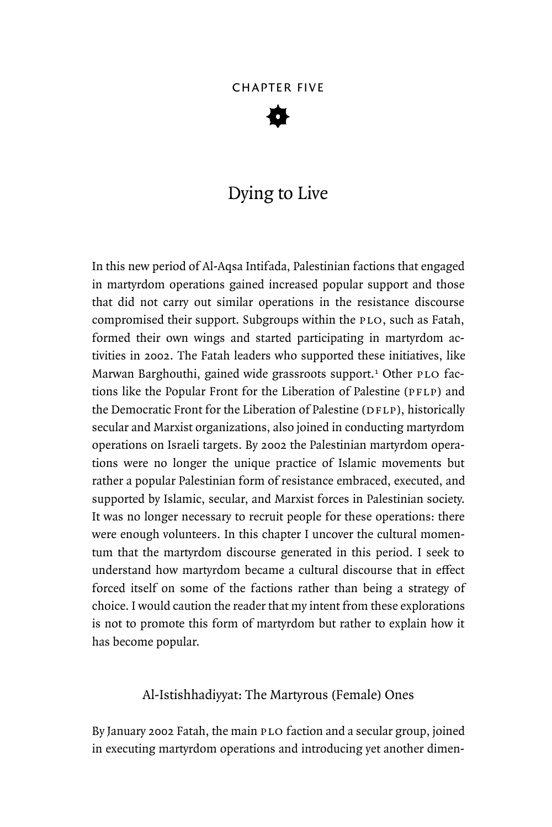# CHAPTER FIVE

# Dying to Live

In this new period of Al-Aqsa Intifada, Palestinian factions that engaged in martyrdom operations gained increased popular support and those that did not carry out similar operations in the resistance discourse compromised their support. Subgroups within the PLO, such as Fatah, formed their own wings and started participating in martyrdom activities in 2002. The Fatah leaders who supported these initiatives, like Marwan Barghouthi, gained wide grassroots support.<sup>1</sup> Other PLO factions like the Popular Front for the Liberation of Palestine (PFLP) and the Democratic Front for the Liberation of Palestine (DFLP), historically secular and Marxist organizations, also joined in conducting martyrdom operations on Israeli targets. By 2002 the Palestinian martyrdom operations were no longer the unique practice of Islamic movements but rather a popular Palestinian form of resistance embraced, executed, and supported by Islamic, secular, and Marxist forces in Palestinian society. It was no longer necessary to recruit people for these operations: there were enough volunteers. In this chapter I uncover the cultural momentum that the martyrdom discourse generated in this period. I seek to understand how martyrdom became a cultural discourse that in effect forced itself on some of the factions rather than being a strategy of choice. I would caution the reader that my intent from these explorations is not to promote this form of martyrdom but rather to explain how it has become popular.

# Al-Istishhadiyyat: The Martyrous (Female) Ones

By January 2002 Fatah, the main PLO faction and a secular group, joined in executing martyrdom operations and introducing yet another dimen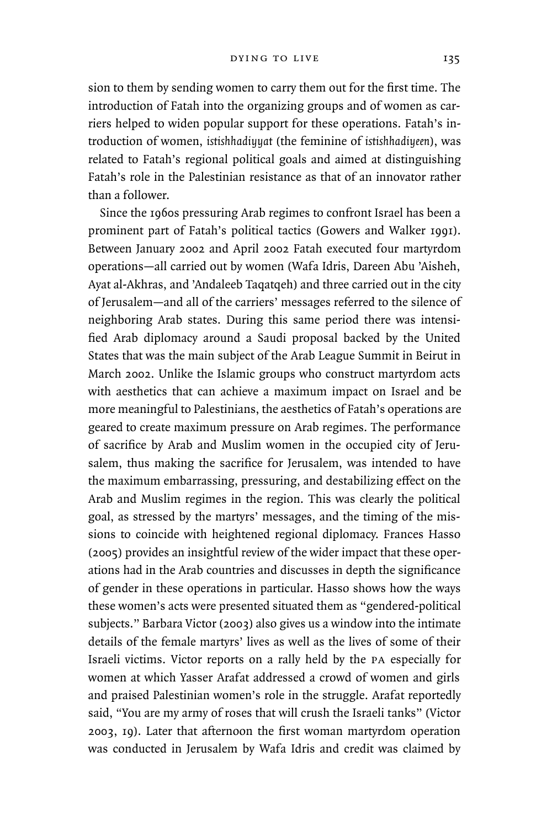sion to them by sending women to carry them out for the first time. The introduction of Fatah into the organizing groups and of women as carriers helped to widen popular support for these operations. Fatah's introduction of women, *istishhadiyyat* (the feminine of *istishhadiyeen*), was related to Fatah's regional political goals and aimed at distinguishing Fatah's role in the Palestinian resistance as that of an innovator rather than a follower.

Since the 1960s pressuring Arab regimes to confront Israel has been a prominent part of Fatah's political tactics (Gowers and Walker 1991). Between January 2002 and April 2002 Fatah executed four martyrdom operations—all carried out by women (Wafa Idris, Dareen Abu 'Aisheh, Ayat al-Akhras, and 'Andaleeb Taqatqeh) and three carried out in the city of Jerusalem—and all of the carriers' messages referred to the silence of neighboring Arab states. During this same period there was intensified Arab diplomacy around a Saudi proposal backed by the United States that was the main subject of the Arab League Summit in Beirut in March 2002. Unlike the Islamic groups who construct martyrdom acts with aesthetics that can achieve a maximum impact on Israel and be more meaningful to Palestinians, the aesthetics of Fatah's operations are geared to create maximum pressure on Arab regimes. The performance of sacrifice by Arab and Muslim women in the occupied city of Jerusalem, thus making the sacrifice for Jerusalem, was intended to have the maximum embarrassing, pressuring, and destabilizing effect on the Arab and Muslim regimes in the region. This was clearly the political goal, as stressed by the martyrs' messages, and the timing of the missions to coincide with heightened regional diplomacy. Frances Hasso (2005) provides an insightful review of the wider impact that these operations had in the Arab countries and discusses in depth the significance of gender in these operations in particular. Hasso shows how the ways these women's acts were presented situated them as ''gendered-political subjects.'' Barbara Victor (2003) also gives us a window into the intimate details of the female martyrs' lives as well as the lives of some of their Israeli victims. Victor reports on a rally held by the pa especially for women at which Yasser Arafat addressed a crowd of women and girls and praised Palestinian women's role in the struggle. Arafat reportedly said, ''You are my army of roses that will crush the Israeli tanks'' (Victor 2003, 19). Later that afternoon the first woman martyrdom operation was conducted in Jerusalem by Wafa Idris and credit was claimed by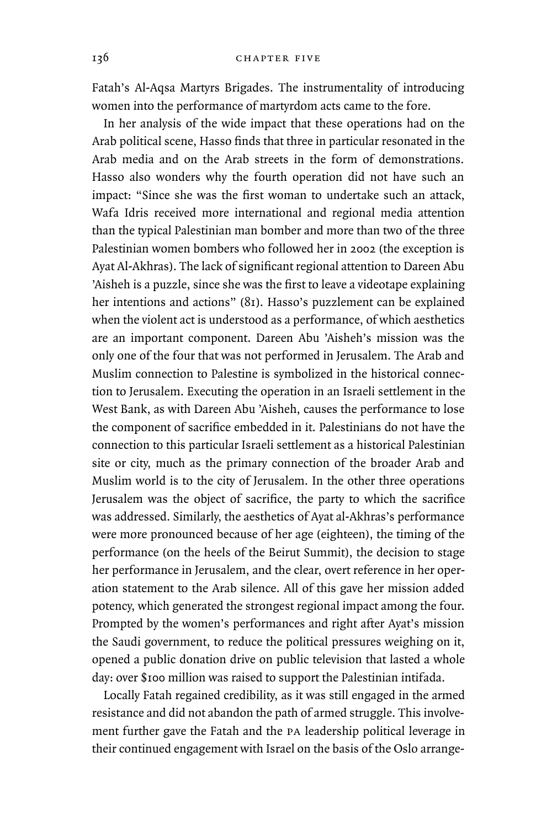Fatah's Al-Aqsa Martyrs Brigades. The instrumentality of introducing women into the performance of martyrdom acts came to the fore.

In her analysis of the wide impact that these operations had on the Arab political scene, Hasso finds that three in particular resonated in the Arab media and on the Arab streets in the form of demonstrations. Hasso also wonders why the fourth operation did not have such an impact: ''Since she was the first woman to undertake such an attack, Wafa Idris received more international and regional media attention than the typical Palestinian man bomber and more than two of the three Palestinian women bombers who followed her in 2002 (the exception is Ayat Al-Akhras). The lack of significant regional attention to Dareen Abu 'Aisheh is a puzzle, since she was the first to leave a videotape explaining her intentions and actions'' (81). Hasso's puzzlement can be explained when the violent act is understood as a performance, of which aesthetics are an important component. Dareen Abu 'Aisheh's mission was the only one of the four that was not performed in Jerusalem. The Arab and Muslim connection to Palestine is symbolized in the historical connection to Jerusalem. Executing the operation in an Israeli settlement in the West Bank, as with Dareen Abu 'Aisheh, causes the performance to lose the component of sacrifice embedded in it. Palestinians do not have the connection to this particular Israeli settlement as a historical Palestinian site or city, much as the primary connection of the broader Arab and Muslim world is to the city of Jerusalem. In the other three operations Jerusalem was the object of sacrifice, the party to which the sacrifice was addressed. Similarly, the aesthetics of Ayat al-Akhras's performance were more pronounced because of her age (eighteen), the timing of the performance (on the heels of the Beirut Summit), the decision to stage her performance in Jerusalem, and the clear, overt reference in her operation statement to the Arab silence. All of this gave her mission added potency, which generated the strongest regional impact among the four. Prompted by the women's performances and right after Ayat's mission the Saudi government, to reduce the political pressures weighing on it, opened a public donation drive on public television that lasted a whole day: over \$100 million was raised to support the Palestinian intifada.

Locally Fatah regained credibility, as it was still engaged in the armed resistance and did not abandon the path of armed struggle. This involvement further gave the Fatah and the pa leadership political leverage in their continued engagement with Israel on the basis of the Oslo arrange-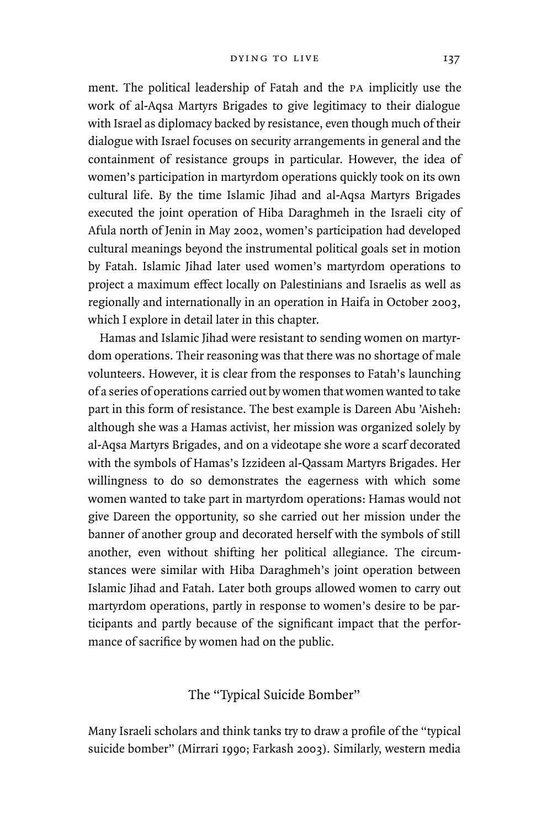ment. The political leadership of Fatah and the pa implicitly use the work of al-Aqsa Martyrs Brigades to give legitimacy to their dialogue with Israel as diplomacy backed by resistance, even though much of their dialogue with Israel focuses on security arrangements in general and the containment of resistance groups in particular. However, the idea of women's participation in martyrdom operations quickly took on its own cultural life. By the time Islamic Jihad and al-Aqsa Martyrs Brigades executed the joint operation of Hiba Daraghmeh in the Israeli city of Afula north of Jenin in May 2002, women's participation had developed cultural meanings beyond the instrumental political goals set in motion by Fatah. Islamic Jihad later used women's martyrdom operations to project a maximum effect locally on Palestinians and Israelis as well as regionally and internationally in an operation in Haifa in October 2003, which I explore in detail later in this chapter.

Hamas and Islamic Jihad were resistant to sending women on martyrdom operations. Their reasoning was that there was no shortage of male volunteers. However, it is clear from the responses to Fatah's launching of a series of operations carried out by women that women wanted to take part in this form of resistance. The best example is Dareen Abu 'Aisheh: although she was a Hamas activist, her mission was organized solely by al-Aqsa Martyrs Brigades, and on a videotape she wore a scarf decorated with the symbols of Hamas's Izzideen al-Qassam Martyrs Brigades. Her willingness to do so demonstrates the eagerness with which some women wanted to take part in martyrdom operations: Hamas would not give Dareen the opportunity, so she carried out her mission under the banner of another group and decorated herself with the symbols of still another, even without shifting her political allegiance. The circumstances were similar with Hiba Daraghmeh's joint operation between Islamic Jihad and Fatah. Later both groups allowed women to carry out martyrdom operations, partly in response to women's desire to be participants and partly because of the significant impact that the performance of sacrifice by women had on the public.

The ''Typical Suicide Bomber''

Many Israeli scholars and think tanks try to draw a profile of the ''typical suicide bomber'' (Mirrari 1990; Farkash 2003). Similarly, western media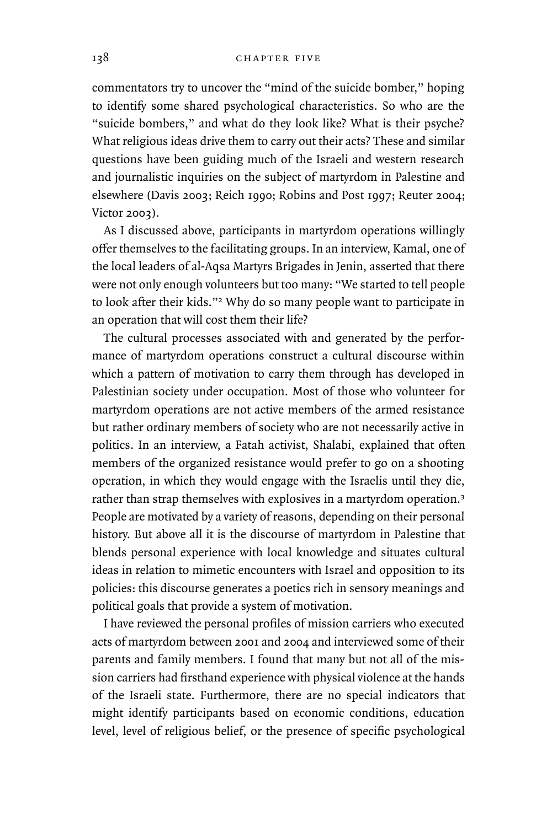commentators try to uncover the ''mind of the suicide bomber,'' hoping to identify some shared psychological characteristics. So who are the "suicide bombers," and what do they look like? What is their psyche? What religious ideas drive them to carry out their acts? These and similar questions have been guiding much of the Israeli and western research and journalistic inquiries on the subject of martyrdom in Palestine and elsewhere (Davis 2003; Reich 1990; Robins and Post 1997; Reuter 2004; Victor 2003).

As I discussed above, participants in martyrdom operations willingly offer themselves to the facilitating groups. In an interview, Kamal, one of the local leaders of al-Aqsa Martyrs Brigades in Jenin, asserted that there were not only enough volunteers but too many: ''We started to tell people to look after their kids."<sup>2</sup> Why do so many people want to participate in an operation that will cost them their life?

The cultural processes associated with and generated by the performance of martyrdom operations construct a cultural discourse within which a pattern of motivation to carry them through has developed in Palestinian society under occupation. Most of those who volunteer for martyrdom operations are not active members of the armed resistance but rather ordinary members of society who are not necessarily active in politics. In an interview, a Fatah activist, Shalabi, explained that often members of the organized resistance would prefer to go on a shooting operation, in which they would engage with the Israelis until they die, rather than strap themselves with explosives in a martyrdom operation.<sup>3</sup> People are motivated by a variety of reasons, depending on their personal history. But above all it is the discourse of martyrdom in Palestine that blends personal experience with local knowledge and situates cultural ideas in relation to mimetic encounters with Israel and opposition to its policies: this discourse generates a poetics rich in sensory meanings and political goals that provide a system of motivation.

I have reviewed the personal profiles of mission carriers who executed acts of martyrdom between 2001 and 2004 and interviewed some of their parents and family members. I found that many but not all of the mission carriers had firsthand experience with physical violence at the hands of the Israeli state. Furthermore, there are no special indicators that might identify participants based on economic conditions, education level, level of religious belief, or the presence of specific psychological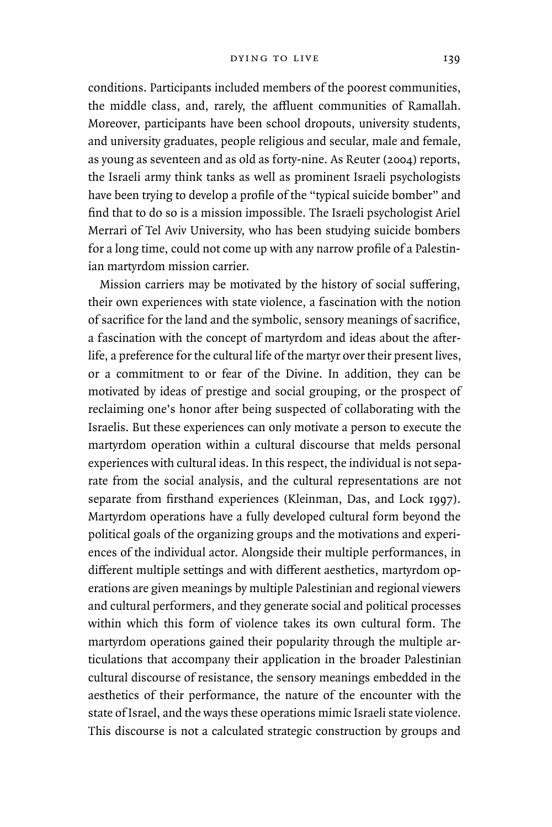conditions. Participants included members of the poorest communities, the middle class, and, rarely, the affluent communities of Ramallah. Moreover, participants have been school dropouts, university students, and university graduates, people religious and secular, male and female, as young as seventeen and as old as forty-nine. As Reuter (2004) reports, the Israeli army think tanks as well as prominent Israeli psychologists have been trying to develop a profile of the ''typical suicide bomber'' and find that to do so is a mission impossible. The Israeli psychologist Ariel Merrari of Tel Aviv University, who has been studying suicide bombers for a long time, could not come up with any narrow profile of a Palestinian martyrdom mission carrier.

Mission carriers may be motivated by the history of social suffering, their own experiences with state violence, a fascination with the notion of sacrifice for the land and the symbolic, sensory meanings of sacrifice, a fascination with the concept of martyrdom and ideas about the afterlife, a preference for the cultural life of the martyr over their present lives, or a commitment to or fear of the Divine. In addition, they can be motivated by ideas of prestige and social grouping, or the prospect of reclaiming one's honor after being suspected of collaborating with the Israelis. But these experiences can only motivate a person to execute the martyrdom operation within a cultural discourse that melds personal experiences with cultural ideas. In this respect, the individual is not separate from the social analysis, and the cultural representations are not separate from firsthand experiences (Kleinman, Das, and Lock 1997). Martyrdom operations have a fully developed cultural form beyond the political goals of the organizing groups and the motivations and experiences of the individual actor. Alongside their multiple performances, in different multiple settings and with different aesthetics, martyrdom operations are given meanings by multiple Palestinian and regional viewers and cultural performers, and they generate social and political processes within which this form of violence takes its own cultural form. The martyrdom operations gained their popularity through the multiple articulations that accompany their application in the broader Palestinian cultural discourse of resistance, the sensory meanings embedded in the aesthetics of their performance, the nature of the encounter with the state of Israel, and the ways these operations mimic Israeli state violence. This discourse is not a calculated strategic construction by groups and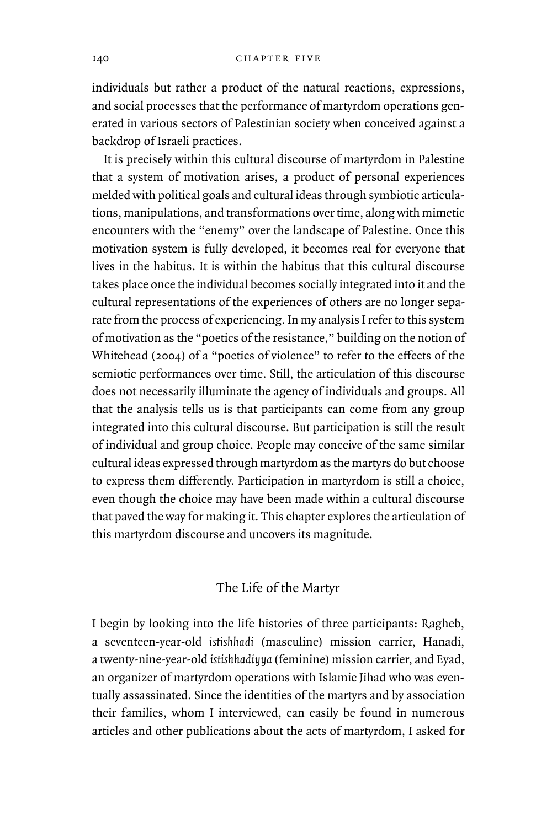individuals but rather a product of the natural reactions, expressions, and social processes that the performance of martyrdom operations generated in various sectors of Palestinian society when conceived against a backdrop of Israeli practices.

It is precisely within this cultural discourse of martyrdom in Palestine that a system of motivation arises, a product of personal experiences melded with political goals and cultural ideas through symbiotic articulations, manipulations, and transformations over time, along with mimetic encounters with the ''enemy'' over the landscape of Palestine. Once this motivation system is fully developed, it becomes real for everyone that lives in the habitus. It is within the habitus that this cultural discourse takes place once the individual becomes socially integrated into it and the cultural representations of the experiences of others are no longer separate from the process of experiencing. In my analysis I refer to this system of motivation as the ''poetics of the resistance,'' building on the notion of Whitehead (2004) of a "poetics of violence" to refer to the effects of the semiotic performances over time. Still, the articulation of this discourse does not necessarily illuminate the agency of individuals and groups. All that the analysis tells us is that participants can come from any group integrated into this cultural discourse. But participation is still the result of individual and group choice. People may conceive of the same similar cultural ideas expressed through martyrdom as the martyrs do but choose to express them differently. Participation in martyrdom is still a choice, even though the choice may have been made within a cultural discourse that paved the way for making it. This chapter explores the articulation of this martyrdom discourse and uncovers its magnitude.

### The Life of the Martyr

I begin by looking into the life histories of three participants: Ragheb, a seventeen-year-old *istishhadi* (masculine) mission carrier, Hanadi, a twenty-nine-year-old *istishhadiyya* (feminine) mission carrier, and Eyad, an organizer of martyrdom operations with Islamic Jihad who was eventually assassinated. Since the identities of the martyrs and by association their families, whom I interviewed, can easily be found in numerous articles and other publications about the acts of martyrdom, I asked for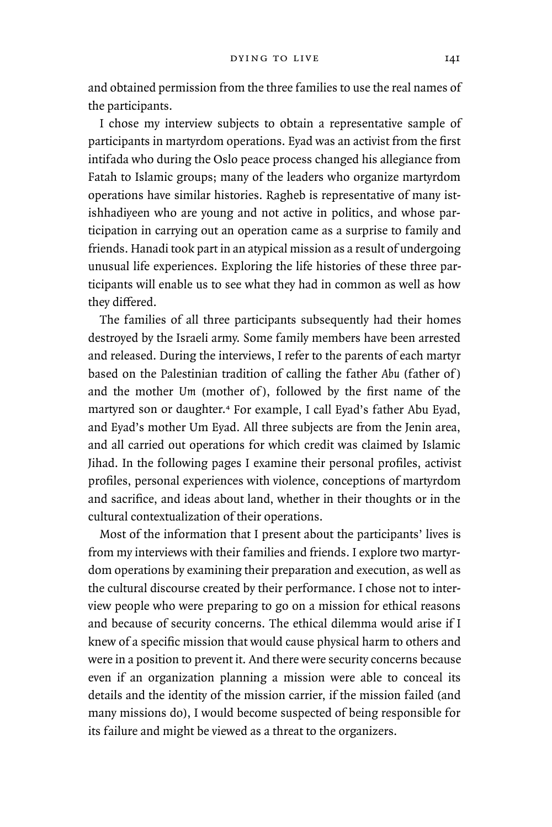and obtained permission from the three families to use the real names of the participants.

I chose my interview subjects to obtain a representative sample of participants in martyrdom operations. Eyad was an activist from the first intifada who during the Oslo peace process changed his allegiance from Fatah to Islamic groups; many of the leaders who organize martyrdom operations have similar histories. Ragheb is representative of many istishhadiyeen who are young and not active in politics, and whose participation in carrying out an operation came as a surprise to family and friends. Hanadi took part in an atypical mission as a result of undergoing unusual life experiences. Exploring the life histories of these three participants will enable us to see what they had in common as well as how they differed.

The families of all three participants subsequently had their homes destroyed by the Israeli army. Some family members have been arrested and released. During the interviews, I refer to the parents of each martyr based on the Palestinian tradition of calling the father *Abu* (father of ) and the mother *Um* (mother of), followed by the first name of the martyred son or daughter.<sup>4</sup> For example, I call Eyad's father Abu Eyad, and Eyad's mother Um Eyad. All three subjects are from the Jenin area, and all carried out operations for which credit was claimed by Islamic Jihad. In the following pages I examine their personal profiles, activist profiles, personal experiences with violence, conceptions of martyrdom and sacrifice, and ideas about land, whether in their thoughts or in the cultural contextualization of their operations.

Most of the information that I present about the participants' lives is from my interviews with their families and friends. I explore two martyrdom operations by examining their preparation and execution, as well as the cultural discourse created by their performance. I chose not to interview people who were preparing to go on a mission for ethical reasons and because of security concerns. The ethical dilemma would arise if I knew of a specific mission that would cause physical harm to others and were in a position to prevent it. And there were security concerns because even if an organization planning a mission were able to conceal its details and the identity of the mission carrier, if the mission failed (and many missions do), I would become suspected of being responsible for its failure and might be viewed as a threat to the organizers.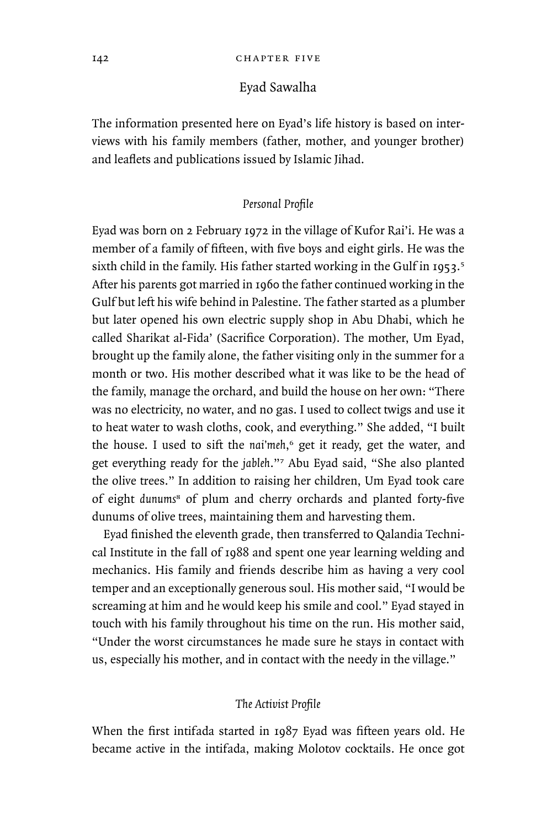#### 142 chapter five

### Eyad Sawalha

The information presented here on Eyad's life history is based on interviews with his family members (father, mother, and younger brother) and leaflets and publications issued by Islamic Jihad.

#### *Personal Profile*

Eyad was born on 2 February 1972 in the village of Kufor Rai'i. He was a member of a family of fifteen, with five boys and eight girls. He was the sixth child in the family. His father started working in the Gulf in 1953.<sup>5</sup> After his parents got married in 1960 the father continued working in the Gulf but left his wife behind in Palestine. The father started as a plumber but later opened his own electric supply shop in Abu Dhabi, which he called Sharikat al-Fida' (Sacrifice Corporation). The mother, Um Eyad, brought up the family alone, the father visiting only in the summer for a month or two. His mother described what it was like to be the head of the family, manage the orchard, and build the house on her own: ''There was no electricity, no water, and no gas. I used to collect twigs and use it to heat water to wash cloths, cook, and everything.'' She added, ''I built the house. I used to sift the *nai*'meh,<sup>6</sup> get it ready, get the water, and get everything ready for the *jableh*."<sup>7</sup> Abu Eyad said, "She also planted the olive trees.'' In addition to raising her children, Um Eyad took care of eight *dunums*∫ of plum and cherry orchards and planted forty-five dunums of olive trees, maintaining them and harvesting them.

Eyad finished the eleventh grade, then transferred to Qalandia Technical Institute in the fall of 1988 and spent one year learning welding and mechanics. His family and friends describe him as having a very cool temper and an exceptionally generous soul. His mother said, ''I would be screaming at him and he would keep his smile and cool.'' Eyad stayed in touch with his family throughout his time on the run. His mother said, ''Under the worst circumstances he made sure he stays in contact with us, especially his mother, and in contact with the needy in the village.''

### *The Activist Profile*

When the first intifada started in 1987 Eyad was fifteen years old. He became active in the intifada, making Molotov cocktails. He once got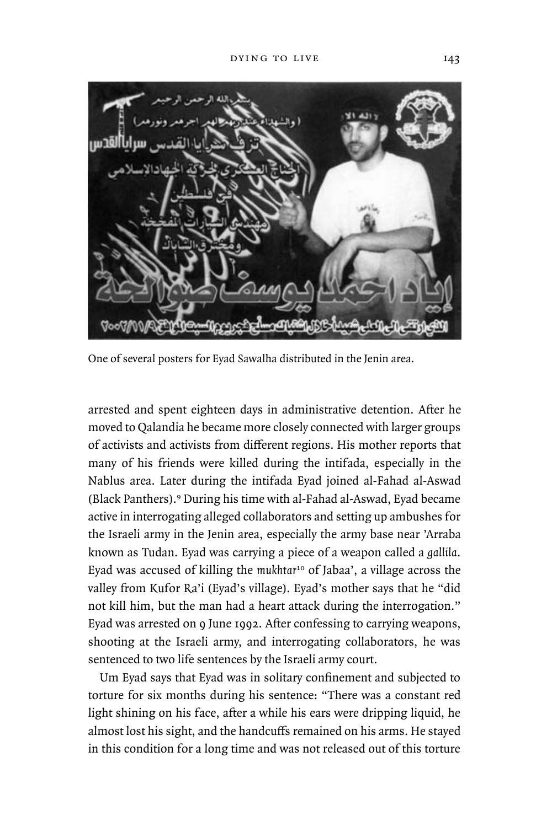

One of several posters for Eyad Sawalha distributed in the Jenin area.

arrested and spent eighteen days in administrative detention. After he moved to Qalandia he became more closely connected with larger groups of activists and activists from different regions. His mother reports that many of his friends were killed during the intifada, especially in the Nablus area. Later during the intifada Eyad joined al-Fahad al-Aswad (Black Panthers).<sup>9</sup> During his time with al-Fahad al-Aswad, Eyad became active in interrogating alleged collaborators and setting up ambushes for the Israeli army in the Jenin area, especially the army base near 'Arraba known as Tudan. Eyad was carrying a piece of a weapon called a *gallila*. Eyad was accused of killing the *mukhtar*∞≠ of Jabaa', a village across the valley from Kufor Ra'i (Eyad's village). Eyad's mother says that he ''did not kill him, but the man had a heart attack during the interrogation.'' Eyad was arrested on 9 June 1992. After confessing to carrying weapons, shooting at the Israeli army, and interrogating collaborators, he was sentenced to two life sentences by the Israeli army court.

Um Eyad says that Eyad was in solitary confinement and subjected to torture for six months during his sentence: ''There was a constant red light shining on his face, after a while his ears were dripping liquid, he almost lost his sight, and the handcuffs remained on his arms. He stayed in this condition for a long time and was not released out of this torture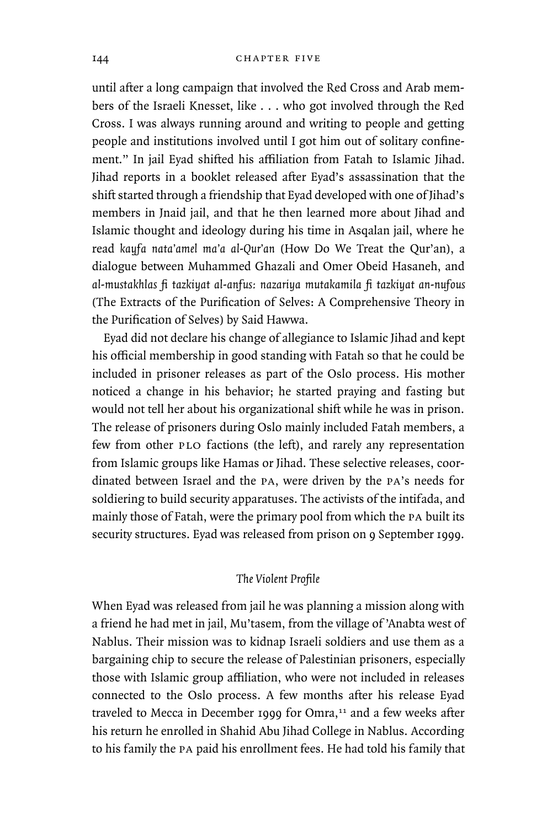until after a long campaign that involved the Red Cross and Arab members of the Israeli Knesset, like . . . who got involved through the Red Cross. I was always running around and writing to people and getting people and institutions involved until I got him out of solitary confinement." In jail Eyad shifted his affiliation from Fatah to Islamic Jihad. Jihad reports in a booklet released after Eyad's assassination that the shift started through a friendship that Eyad developed with one of Jihad's members in Jnaid jail, and that he then learned more about Jihad and Islamic thought and ideology during his time in Asqalan jail, where he read *kayfa nata'amel ma'a al-Qur'an* (How Do We Treat the Qur'an), a dialogue between Muhammed Ghazali and Omer Obeid Hasaneh, and *al-mustakhlas fi tazkiyat al-anfus: nazariya mutakamila fi tazkiyat an-nufous* (The Extracts of the Purification of Selves: A Comprehensive Theory in the Purification of Selves) by Said Hawwa.

Eyad did not declare his change of allegiance to Islamic Jihad and kept his official membership in good standing with Fatah so that he could be included in prisoner releases as part of the Oslo process. His mother noticed a change in his behavior; he started praying and fasting but would not tell her about his organizational shift while he was in prison. The release of prisoners during Oslo mainly included Fatah members, a few from other plo factions (the left), and rarely any representation from Islamic groups like Hamas or Jihad. These selective releases, coordinated between Israel and the pa, were driven by the pa's needs for soldiering to build security apparatuses. The activists of the intifada, and mainly those of Fatah, were the primary pool from which the pa built its security structures. Eyad was released from prison on 9 September 1999.

### *The Violent Profile*

When Eyad was released from jail he was planning a mission along with a friend he had met in jail, Mu'tasem, from the village of 'Anabta west of Nablus. Their mission was to kidnap Israeli soldiers and use them as a bargaining chip to secure the release of Palestinian prisoners, especially those with Islamic group affiliation, who were not included in releases connected to the Oslo process. A few months after his release Eyad traveled to Mecca in December 1999 for Omra, $11$  and a few weeks after his return he enrolled in Shahid Abu Jihad College in Nablus. According to his family the pa paid his enrollment fees. He had told his family that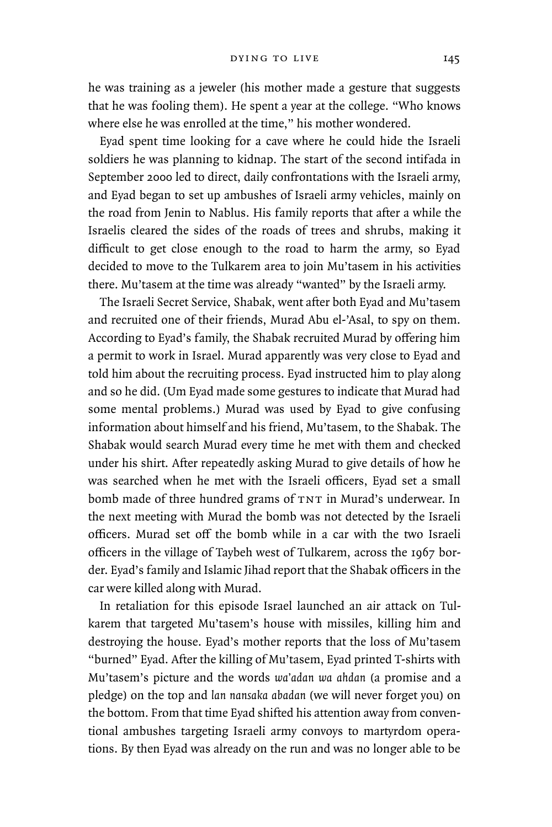he was training as a jeweler (his mother made a gesture that suggests that he was fooling them). He spent a year at the college. ''Who knows where else he was enrolled at the time,'' his mother wondered.

Eyad spent time looking for a cave where he could hide the Israeli soldiers he was planning to kidnap. The start of the second intifada in September 2000 led to direct, daily confrontations with the Israeli army, and Eyad began to set up ambushes of Israeli army vehicles, mainly on the road from Jenin to Nablus. His family reports that after a while the Israelis cleared the sides of the roads of trees and shrubs, making it difficult to get close enough to the road to harm the army, so Eyad decided to move to the Tulkarem area to join Mu'tasem in his activities there. Mu'tasem at the time was already ''wanted'' by the Israeli army.

The Israeli Secret Service, Shabak, went after both Eyad and Mu'tasem and recruited one of their friends, Murad Abu el-'Asal, to spy on them. According to Eyad's family, the Shabak recruited Murad by offering him a permit to work in Israel. Murad apparently was very close to Eyad and told him about the recruiting process. Eyad instructed him to play along and so he did. (Um Eyad made some gestures to indicate that Murad had some mental problems.) Murad was used by Eyad to give confusing information about himself and his friend, Mu'tasem, to the Shabak. The Shabak would search Murad every time he met with them and checked under his shirt. After repeatedly asking Murad to give details of how he was searched when he met with the Israeli officers, Eyad set a small bomb made of three hundred grams of TNT in Murad's underwear. In the next meeting with Murad the bomb was not detected by the Israeli officers. Murad set off the bomb while in a car with the two Israeli officers in the village of Taybeh west of Tulkarem, across the 1967 border. Eyad's family and Islamic Jihad report that the Shabak officers in the car were killed along with Murad.

In retaliation for this episode Israel launched an air attack on Tulkarem that targeted Mu'tasem's house with missiles, killing him and destroying the house. Eyad's mother reports that the loss of Mu'tasem ''burned'' Eyad. After the killing of Mu'tasem, Eyad printed T-shirts with Mu'tasem's picture and the words *wa'adan wa ahdan* (a promise and a pledge) on the top and *lan nansaka abadan* (we will never forget you) on the bottom. From that time Eyad shifted his attention away from conventional ambushes targeting Israeli army convoys to martyrdom operations. By then Eyad was already on the run and was no longer able to be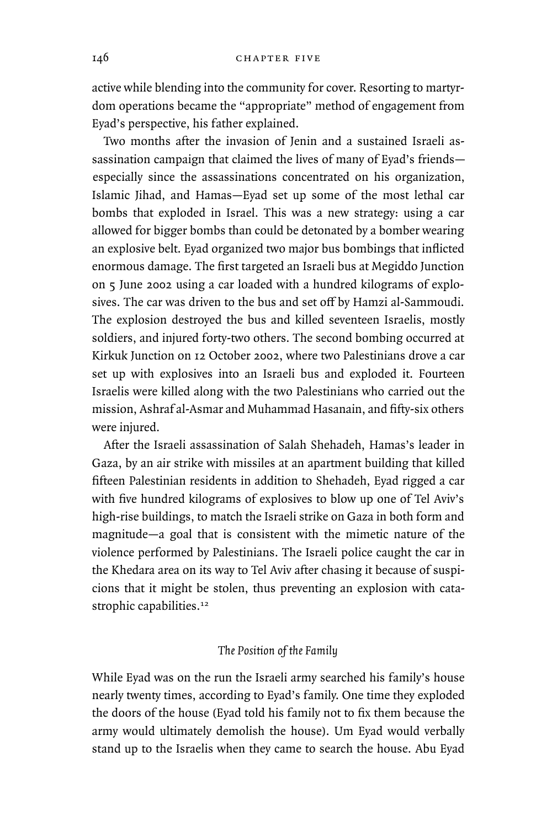active while blending into the community for cover. Resorting to martyrdom operations became the ''appropriate'' method of engagement from Eyad's perspective, his father explained.

Two months after the invasion of Jenin and a sustained Israeli assassination campaign that claimed the lives of many of Eyad's friends especially since the assassinations concentrated on his organization, Islamic Jihad, and Hamas—Eyad set up some of the most lethal car bombs that exploded in Israel. This was a new strategy: using a car allowed for bigger bombs than could be detonated by a bomber wearing an explosive belt. Eyad organized two major bus bombings that inflicted enormous damage. The first targeted an Israeli bus at Megiddo Junction on 5 June 2002 using a car loaded with a hundred kilograms of explosives. The car was driven to the bus and set off by Hamzi al-Sammoudi. The explosion destroyed the bus and killed seventeen Israelis, mostly soldiers, and injured forty-two others. The second bombing occurred at Kirkuk Junction on 12 October 2002, where two Palestinians drove a car set up with explosives into an Israeli bus and exploded it. Fourteen Israelis were killed along with the two Palestinians who carried out the mission, Ashraf al-Asmar and Muhammad Hasanain, and fifty-six others were injured.

After the Israeli assassination of Salah Shehadeh, Hamas's leader in Gaza, by an air strike with missiles at an apartment building that killed fifteen Palestinian residents in addition to Shehadeh, Eyad rigged a car with five hundred kilograms of explosives to blow up one of Tel Aviv's high-rise buildings, to match the Israeli strike on Gaza in both form and magnitude—a goal that is consistent with the mimetic nature of the violence performed by Palestinians. The Israeli police caught the car in the Khedara area on its way to Tel Aviv after chasing it because of suspicions that it might be stolen, thus preventing an explosion with catastrophic capabilities.<sup>12</sup>

# *The Position of the Family*

While Eyad was on the run the Israeli army searched his family's house nearly twenty times, according to Eyad's family. One time they exploded the doors of the house (Eyad told his family not to fix them because the army would ultimately demolish the house). Um Eyad would verbally stand up to the Israelis when they came to search the house. Abu Eyad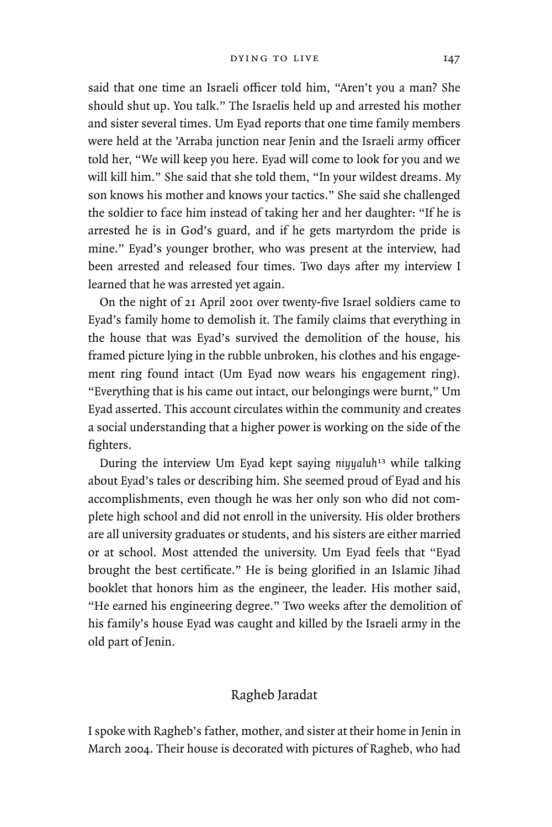said that one time an Israeli officer told him, "Aren't you a man? She should shut up. You talk.'' The Israelis held up and arrested his mother and sister several times. Um Eyad reports that one time family members were held at the 'Arraba junction near Jenin and the Israeli army officer told her, ''We will keep you here. Eyad will come to look for you and we will kill him." She said that she told them, "In your wildest dreams. My son knows his mother and knows your tactics.'' She said she challenged the soldier to face him instead of taking her and her daughter: ''If he is arrested he is in God's guard, and if he gets martyrdom the pride is mine.'' Eyad's younger brother, who was present at the interview, had been arrested and released four times. Two days after my interview I learned that he was arrested yet again.

On the night of 21 April 2001 over twenty-five Israel soldiers came to Eyad's family home to demolish it. The family claims that everything in the house that was Eyad's survived the demolition of the house, his framed picture lying in the rubble unbroken, his clothes and his engagement ring found intact (Um Eyad now wears his engagement ring). ''Everything that is his came out intact, our belongings were burnt,'' Um Eyad asserted. This account circulates within the community and creates a social understanding that a higher power is working on the side of the fighters.

During the interview Um Eyad kept saying niyyaluh<sup>13</sup> while talking about Eyad's tales or describing him. She seemed proud of Eyad and his accomplishments, even though he was her only son who did not complete high school and did not enroll in the university. His older brothers are all university graduates or students, and his sisters are either married or at school. Most attended the university. Um Eyad feels that ''Eyad brought the best certificate.'' He is being glorified in an Islamic Jihad booklet that honors him as the engineer, the leader. His mother said, ''He earned his engineering degree.'' Two weeks after the demolition of his family's house Eyad was caught and killed by the Israeli army in the old part of Jenin.

# Ragheb Jaradat

I spoke with Ragheb's father, mother, and sister at their home in Jenin in March 2004. Their house is decorated with pictures of Ragheb, who had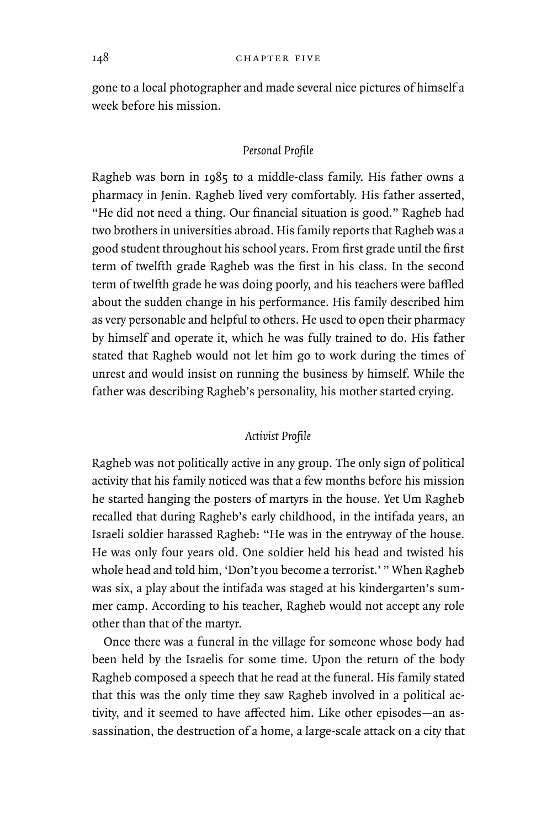gone to a local photographer and made several nice pictures of himself a week before his mission.

### *Personal Profile*

Ragheb was born in 1985 to a middle-class family. His father owns a pharmacy in Jenin. Ragheb lived very comfortably. His father asserted, "He did not need a thing. Our financial situation is good." Ragheb had two brothers in universities abroad. His family reports that Ragheb was a good student throughout his school years. From first grade until the first term of twelfth grade Ragheb was the first in his class. In the second term of twelfth grade he was doing poorly, and his teachers were baffled about the sudden change in his performance. His family described him as very personable and helpful to others. He used to open their pharmacy by himself and operate it, which he was fully trained to do. His father stated that Ragheb would not let him go to work during the times of unrest and would insist on running the business by himself. While the father was describing Ragheb's personality, his mother started crying.

### *Activist Profile*

Ragheb was not politically active in any group. The only sign of political activity that his family noticed was that a few months before his mission he started hanging the posters of martyrs in the house. Yet Um Ragheb recalled that during Ragheb's early childhood, in the intifada years, an Israeli soldier harassed Ragheb: ''He was in the entryway of the house. He was only four years old. One soldier held his head and twisted his whole head and told him, 'Don't you become a terrorist.' '' When Ragheb was six, a play about the intifada was staged at his kindergarten's summer camp. According to his teacher, Ragheb would not accept any role other than that of the martyr.

Once there was a funeral in the village for someone whose body had been held by the Israelis for some time. Upon the return of the body Ragheb composed a speech that he read at the funeral. His family stated that this was the only time they saw Ragheb involved in a political activity, and it seemed to have affected him. Like other episodes—an assassination, the destruction of a home, a large-scale attack on a city that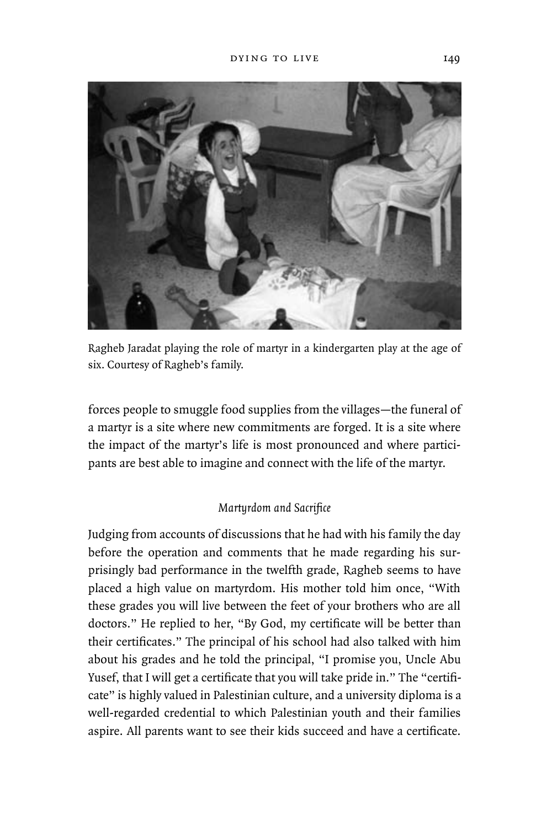

Ragheb Jaradat playing the role of martyr in a kindergarten play at the age of six. Courtesy of Ragheb's family.

forces people to smuggle food supplies from the villages—the funeral of a martyr is a site where new commitments are forged. It is a site where the impact of the martyr's life is most pronounced and where participants are best able to imagine and connect with the life of the martyr.

# *Martyrdom and Sacrifice*

Judging from accounts of discussions that he had with his family the day before the operation and comments that he made regarding his surprisingly bad performance in the twelfth grade, Ragheb seems to have placed a high value on martyrdom. His mother told him once, ''With these grades you will live between the feet of your brothers who are all doctors.'' He replied to her, ''By God, my certificate will be better than their certificates.'' The principal of his school had also talked with him about his grades and he told the principal, ''I promise you, Uncle Abu Yusef, that I will get a certificate that you will take pride in." The "certificate'' is highly valued in Palestinian culture, and a university diploma is a well-regarded credential to which Palestinian youth and their families aspire. All parents want to see their kids succeed and have a certificate.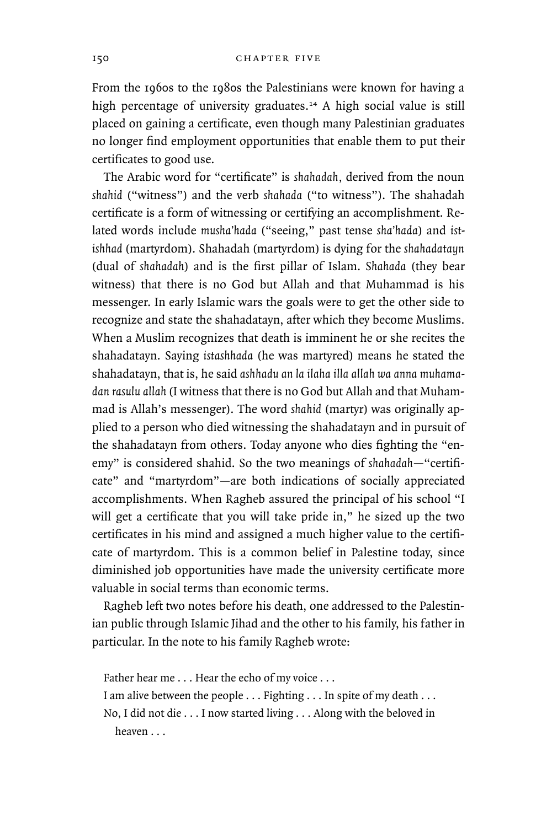From the 1960s to the 1980s the Palestinians were known for having a high percentage of university graduates.<sup>14</sup> A high social value is still placed on gaining a certificate, even though many Palestinian graduates no longer find employment opportunities that enable them to put their certificates to good use.

The Arabic word for ''certificate'' is *shahadah,* derived from the noun *shahid* (''witness'') and the verb *shahada* (''to witness''). The shahadah certificate is a form of witnessing or certifying an accomplishment. Related words include *musha'hada* (''seeing,'' past tense *sha'hada*) and *istishhad* (martyrdom). Shahadah (martyrdom) is dying for the *shahadatayn* (dual of *shahadah*) and is the first pillar of Islam. *Shahada* (they bear witness) that there is no God but Allah and that Muhammad is his messenger. In early Islamic wars the goals were to get the other side to recognize and state the shahadatayn, after which they become Muslims. When a Muslim recognizes that death is imminent he or she recites the shahadatayn. Saying *istashhada* (he was martyred) means he stated the shahadatayn, that is, he said *ashhadu an la ilaha illa allah wa anna muhamadan rasulu allah* (I witness that there is no God but Allah and that Muhammad is Allah's messenger). The word *shahid* (martyr) was originally applied to a person who died witnessing the shahadatayn and in pursuit of the shahadatayn from others. Today anyone who dies fighting the ''enemy'' is considered shahid. So the two meanings of *shahadah*—''certificate'' and ''martyrdom''—are both indications of socially appreciated accomplishments. When Ragheb assured the principal of his school ''I will get a certificate that you will take pride in," he sized up the two certificates in his mind and assigned a much higher value to the certificate of martyrdom. This is a common belief in Palestine today, since diminished job opportunities have made the university certificate more valuable in social terms than economic terms.

Ragheb left two notes before his death, one addressed to the Palestinian public through Islamic Jihad and the other to his family, his father in particular. In the note to his family Ragheb wrote:

Father hear me . . . Hear the echo of my voice . . . I am alive between the people . . . Fighting . . . In spite of my death . . . No, I did not die . . . I now started living . . . Along with the beloved in

heaven . . .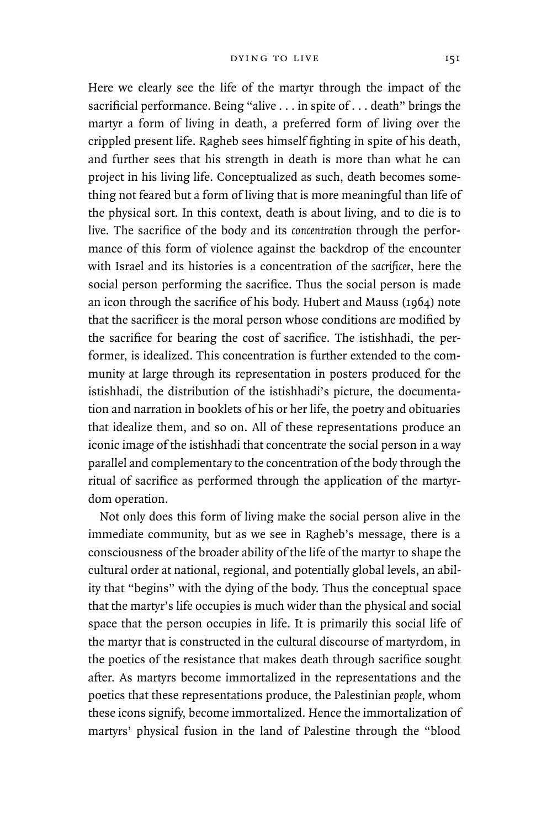Here we clearly see the life of the martyr through the impact of the sacrificial performance. Being "alive . . . in spite of . . . death" brings the martyr a form of living in death, a preferred form of living over the crippled present life. Ragheb sees himself fighting in spite of his death, and further sees that his strength in death is more than what he can project in his living life. Conceptualized as such, death becomes something not feared but a form of living that is more meaningful than life of the physical sort. In this context, death is about living, and to die is to live. The sacrifice of the body and its *concentration* through the performance of this form of violence against the backdrop of the encounter with Israel and its histories is a concentration of the *sacrificer*, here the social person performing the sacrifice. Thus the social person is made an icon through the sacrifice of his body. Hubert and Mauss (1964) note that the sacrificer is the moral person whose conditions are modified by the sacrifice for bearing the cost of sacrifice. The istishhadi, the performer, is idealized. This concentration is further extended to the community at large through its representation in posters produced for the istishhadi, the distribution of the istishhadi's picture, the documentation and narration in booklets of his or her life, the poetry and obituaries that idealize them, and so on. All of these representations produce an iconic image of the istishhadi that concentrate the social person in a way parallel and complementary to the concentration of the body through the ritual of sacrifice as performed through the application of the martyrdom operation.

Not only does this form of living make the social person alive in the immediate community, but as we see in Ragheb's message, there is a consciousness of the broader ability of the life of the martyr to shape the cultural order at national, regional, and potentially global levels, an ability that ''begins'' with the dying of the body. Thus the conceptual space that the martyr's life occupies is much wider than the physical and social space that the person occupies in life. It is primarily this social life of the martyr that is constructed in the cultural discourse of martyrdom, in the poetics of the resistance that makes death through sacrifice sought after. As martyrs become immortalized in the representations and the poetics that these representations produce, the Palestinian *people*, whom these icons signify, become immortalized. Hence the immortalization of martyrs' physical fusion in the land of Palestine through the ''blood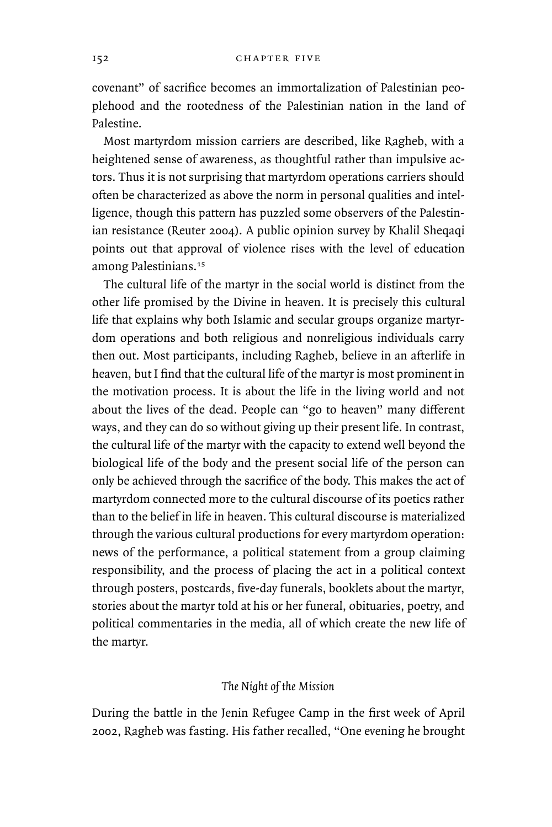covenant'' of sacrifice becomes an immortalization of Palestinian peoplehood and the rootedness of the Palestinian nation in the land of Palestine.

Most martyrdom mission carriers are described, like Ragheb, with a heightened sense of awareness, as thoughtful rather than impulsive actors. Thus it is not surprising that martyrdom operations carriers should often be characterized as above the norm in personal qualities and intelligence, though this pattern has puzzled some observers of the Palestinian resistance (Reuter 2004). A public opinion survey by Khalil Sheqaqi points out that approval of violence rises with the level of education among Palestinians.<sup>15</sup>

The cultural life of the martyr in the social world is distinct from the other life promised by the Divine in heaven. It is precisely this cultural life that explains why both Islamic and secular groups organize martyrdom operations and both religious and nonreligious individuals carry then out. Most participants, including Ragheb, believe in an afterlife in heaven, but I find that the cultural life of the martyr is most prominent in the motivation process. It is about the life in the living world and not about the lives of the dead. People can "go to heaven" many different ways, and they can do so without giving up their present life. In contrast, the cultural life of the martyr with the capacity to extend well beyond the biological life of the body and the present social life of the person can only be achieved through the sacrifice of the body. This makes the act of martyrdom connected more to the cultural discourse of its poetics rather than to the belief in life in heaven. This cultural discourse is materialized through the various cultural productions for every martyrdom operation: news of the performance, a political statement from a group claiming responsibility, and the process of placing the act in a political context through posters, postcards, five-day funerals, booklets about the martyr, stories about the martyr told at his or her funeral, obituaries, poetry, and political commentaries in the media, all of which create the new life of the martyr.

### *The Night of the Mission*

During the battle in the Jenin Refugee Camp in the first week of April 2002, Ragheb was fasting. His father recalled, ''One evening he brought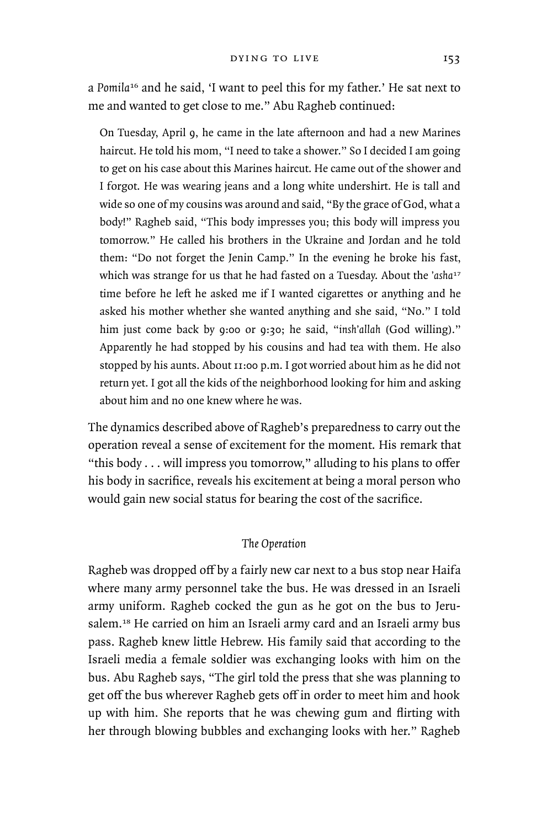a Pomila<sup>16</sup> and he said, 'I want to peel this for my father.' He sat next to me and wanted to get close to me.'' Abu Ragheb continued:

On Tuesday, April 9, he came in the late afternoon and had a new Marines haircut. He told his mom, ''I need to take a shower.'' So I decided I am going to get on his case about this Marines haircut. He came out of the shower and I forgot. He was wearing jeans and a long white undershirt. He is tall and wide so one of my cousins was around and said, ''By the grace of God, what a body!'' Ragheb said, ''This body impresses you; this body will impress you tomorrow.'' He called his brothers in the Ukraine and Jordan and he told them: ''Do not forget the Jenin Camp.'' In the evening he broke his fast, which was strange for us that he had fasted on a Tuesday. About the 'asha<sup>17</sup> time before he left he asked me if I wanted cigarettes or anything and he asked his mother whether she wanted anything and she said, ''No.'' I told him just come back by 9:00 or 9:30; he said, ''*insh'allah* (God willing).'' Apparently he had stopped by his cousins and had tea with them. He also stopped by his aunts. About 11:00 p.m. I got worried about him as he did not return yet. I got all the kids of the neighborhood looking for him and asking about him and no one knew where he was.

The dynamics described above of Ragheb's preparedness to carry out the operation reveal a sense of excitement for the moment. His remark that "this body  $\ldots$  will impress you tomorrow," alluding to his plans to offer his body in sacrifice, reveals his excitement at being a moral person who would gain new social status for bearing the cost of the sacrifice.

### *The Operation*

Ragheb was dropped off by a fairly new car next to a bus stop near Haifa where many army personnel take the bus. He was dressed in an Israeli army uniform. Ragheb cocked the gun as he got on the bus to Jerusalem.<sup>18</sup> He carried on him an Israeli army card and an Israeli army bus pass. Ragheb knew little Hebrew. His family said that according to the Israeli media a female soldier was exchanging looks with him on the bus. Abu Ragheb says, ''The girl told the press that she was planning to get off the bus wherever Ragheb gets off in order to meet him and hook up with him. She reports that he was chewing gum and flirting with her through blowing bubbles and exchanging looks with her.'' Ragheb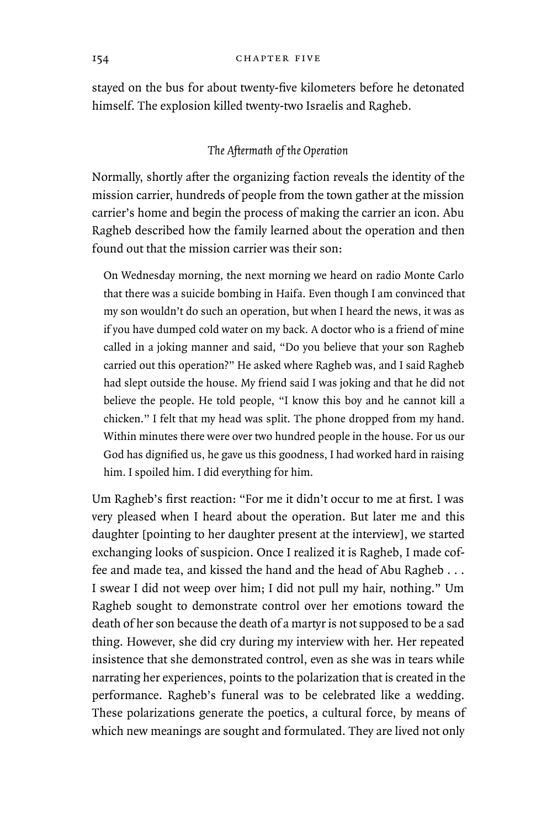#### 154 chapter five

stayed on the bus for about twenty-five kilometers before he detonated himself. The explosion killed twenty-two Israelis and Ragheb.

# *The Aftermath of the Operation*

Normally, shortly after the organizing faction reveals the identity of the mission carrier, hundreds of people from the town gather at the mission carrier's home and begin the process of making the carrier an icon. Abu Ragheb described how the family learned about the operation and then found out that the mission carrier was their son:

On Wednesday morning, the next morning we heard on radio Monte Carlo that there was a suicide bombing in Haifa. Even though I am convinced that my son wouldn't do such an operation, but when I heard the news, it was as if you have dumped cold water on my back. A doctor who is a friend of mine called in a joking manner and said, ''Do you believe that your son Ragheb carried out this operation?'' He asked where Ragheb was, and I said Ragheb had slept outside the house. My friend said I was joking and that he did not believe the people. He told people, ''I know this boy and he cannot kill a chicken.'' I felt that my head was split. The phone dropped from my hand. Within minutes there were over two hundred people in the house. For us our God has dignified us, he gave us this goodness, I had worked hard in raising him. I spoiled him. I did everything for him.

Um Ragheb's first reaction: ''For me it didn't occur to me at first. I was very pleased when I heard about the operation. But later me and this daughter [pointing to her daughter present at the interview], we started exchanging looks of suspicion. Once I realized it is Ragheb, I made coffee and made tea, and kissed the hand and the head of Abu Ragheb . . . I swear I did not weep over him; I did not pull my hair, nothing.'' Um Ragheb sought to demonstrate control over her emotions toward the death of her son because the death of a martyr is not supposed to be a sad thing. However, she did cry during my interview with her. Her repeated insistence that she demonstrated control, even as she was in tears while narrating her experiences, points to the polarization that is created in the performance. Ragheb's funeral was to be celebrated like a wedding. These polarizations generate the poetics, a cultural force, by means of which new meanings are sought and formulated. They are lived not only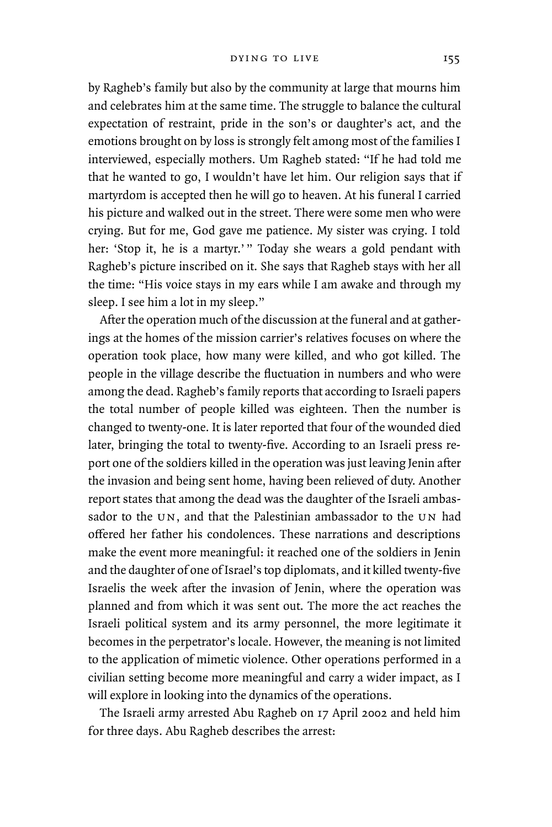by Ragheb's family but also by the community at large that mourns him and celebrates him at the same time. The struggle to balance the cultural expectation of restraint, pride in the son's or daughter's act, and the emotions brought on by loss is strongly felt among most of the families I interviewed, especially mothers. Um Ragheb stated: ''If he had told me that he wanted to go, I wouldn't have let him. Our religion says that if martyrdom is accepted then he will go to heaven. At his funeral I carried his picture and walked out in the street. There were some men who were crying. But for me, God gave me patience. My sister was crying. I told her: 'Stop it, he is a martyr.'" Today she wears a gold pendant with Ragheb's picture inscribed on it. She says that Ragheb stays with her all the time: ''His voice stays in my ears while I am awake and through my sleep. I see him a lot in my sleep.''

After the operation much of the discussion at the funeral and at gatherings at the homes of the mission carrier's relatives focuses on where the operation took place, how many were killed, and who got killed. The people in the village describe the fluctuation in numbers and who were among the dead. Ragheb's family reports that according to Israeli papers the total number of people killed was eighteen. Then the number is changed to twenty-one. It is later reported that four of the wounded died later, bringing the total to twenty-five. According to an Israeli press report one of the soldiers killed in the operation was just leaving Jenin after the invasion and being sent home, having been relieved of duty. Another report states that among the dead was the daughter of the Israeli ambassador to the UN, and that the Palestinian ambassador to the UN had offered her father his condolences. These narrations and descriptions make the event more meaningful: it reached one of the soldiers in Jenin and the daughter of one of Israel's top diplomats, and it killed twenty-five Israelis the week after the invasion of Jenin, where the operation was planned and from which it was sent out. The more the act reaches the Israeli political system and its army personnel, the more legitimate it becomes in the perpetrator's locale. However, the meaning is not limited to the application of mimetic violence. Other operations performed in a civilian setting become more meaningful and carry a wider impact, as I will explore in looking into the dynamics of the operations.

The Israeli army arrested Abu Ragheb on 17 April 2002 and held him for three days. Abu Ragheb describes the arrest: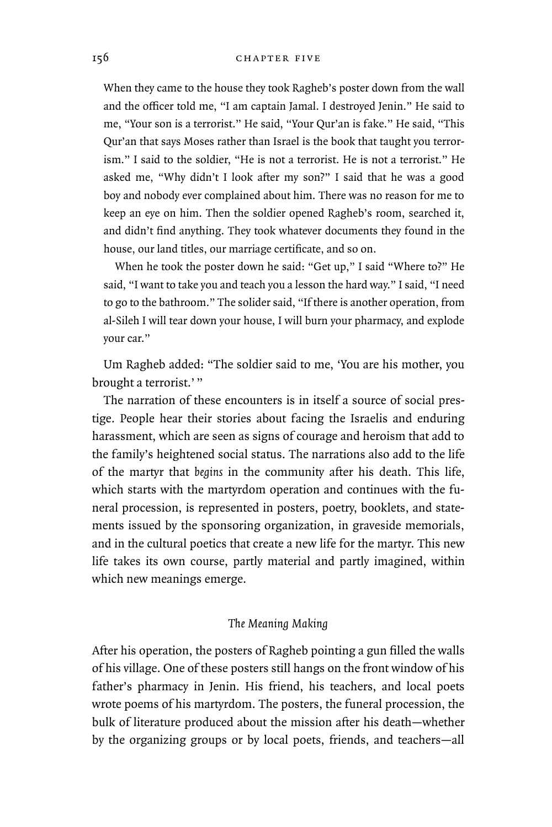When they came to the house they took Ragheb's poster down from the wall and the officer told me, "I am captain Jamal. I destroyed Jenin." He said to me, ''Your son is a terrorist.'' He said, ''Your Qur'an is fake.'' He said, ''This Qur'an that says Moses rather than Israel is the book that taught you terrorism.'' I said to the soldier, ''He is not a terrorist. He is not a terrorist.'' He asked me, ''Why didn't I look after my son?'' I said that he was a good boy and nobody ever complained about him. There was no reason for me to keep an eye on him. Then the soldier opened Ragheb's room, searched it, and didn't find anything. They took whatever documents they found in the house, our land titles, our marriage certificate, and so on.

When he took the poster down he said: "Get up," I said "Where to?" He said, ''I want to take you and teach you a lesson the hard way.'' I said, ''I need to go to the bathroom.'' The solider said, ''If there is another operation, from al-Sileh I will tear down your house, I will burn your pharmacy, and explode your car.''

Um Ragheb added: ''The soldier said to me, 'You are his mother, you brought a terrorist.'"

The narration of these encounters is in itself a source of social prestige. People hear their stories about facing the Israelis and enduring harassment, which are seen as signs of courage and heroism that add to the family's heightened social status. The narrations also add to the life of the martyr that *begins* in the community after his death. This life, which starts with the martyrdom operation and continues with the funeral procession, is represented in posters, poetry, booklets, and statements issued by the sponsoring organization, in graveside memorials, and in the cultural poetics that create a new life for the martyr. This new life takes its own course, partly material and partly imagined, within which new meanings emerge.

### *The Meaning Making*

After his operation, the posters of Ragheb pointing a gun filled the walls of his village. One of these posters still hangs on the front window of his father's pharmacy in Jenin. His friend, his teachers, and local poets wrote poems of his martyrdom. The posters, the funeral procession, the bulk of literature produced about the mission after his death—whether by the organizing groups or by local poets, friends, and teachers—all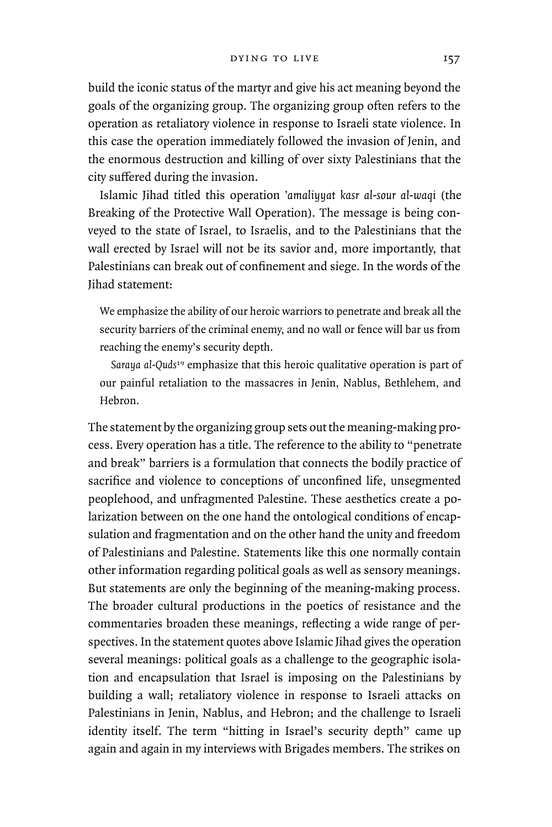build the iconic status of the martyr and give his act meaning beyond the goals of the organizing group. The organizing group often refers to the operation as retaliatory violence in response to Israeli state violence. In this case the operation immediately followed the invasion of Jenin, and the enormous destruction and killing of over sixty Palestinians that the city suffered during the invasion.

Islamic Jihad titled this operation *'amaliyyat kasr al-sour al-waqi* (the Breaking of the Protective Wall Operation). The message is being conveyed to the state of Israel, to Israelis, and to the Palestinians that the wall erected by Israel will not be its savior and, more importantly, that Palestinians can break out of confinement and siege. In the words of the Jihad statement:

We emphasize the ability of our heroic warriors to penetrate and break all the security barriers of the criminal enemy, and no wall or fence will bar us from reaching the enemy's security depth.

Saraya al-Quds<sup>19</sup> emphasize that this heroic qualitative operation is part of our painful retaliation to the massacres in Jenin, Nablus, Bethlehem, and Hebron.

The statement by the organizing group sets out the meaning-making process. Every operation has a title. The reference to the ability to ''penetrate and break'' barriers is a formulation that connects the bodily practice of sacrifice and violence to conceptions of unconfined life, unsegmented peoplehood, and unfragmented Palestine. These aesthetics create a polarization between on the one hand the ontological conditions of encapsulation and fragmentation and on the other hand the unity and freedom of Palestinians and Palestine. Statements like this one normally contain other information regarding political goals as well as sensory meanings. But statements are only the beginning of the meaning-making process. The broader cultural productions in the poetics of resistance and the commentaries broaden these meanings, reflecting a wide range of perspectives. In the statement quotes above Islamic Jihad gives the operation several meanings: political goals as a challenge to the geographic isolation and encapsulation that Israel is imposing on the Palestinians by building a wall; retaliatory violence in response to Israeli attacks on Palestinians in Jenin, Nablus, and Hebron; and the challenge to Israeli identity itself. The term "hitting in Israel's security depth" came up again and again in my interviews with Brigades members. The strikes on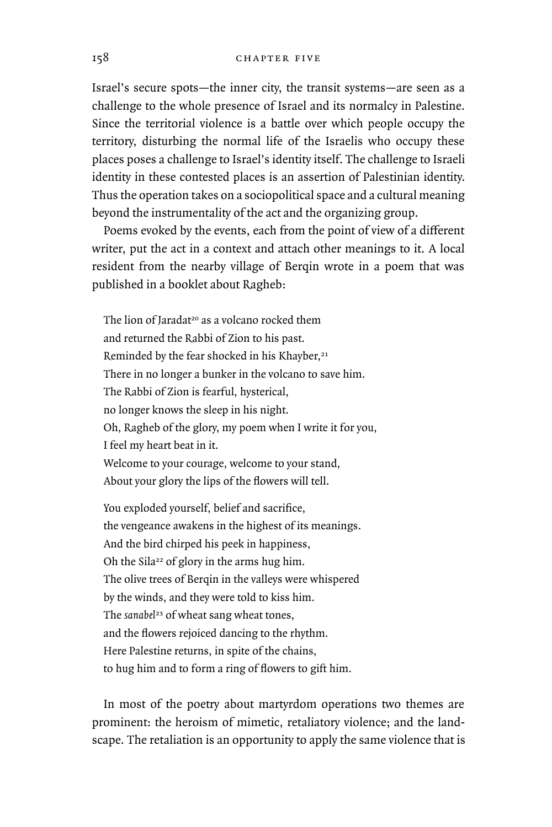Israel's secure spots—the inner city, the transit systems—are seen as a challenge to the whole presence of Israel and its normalcy in Palestine. Since the territorial violence is a battle over which people occupy the territory, disturbing the normal life of the Israelis who occupy these places poses a challenge to Israel's identity itself. The challenge to Israeli identity in these contested places is an assertion of Palestinian identity. Thus the operation takes on a sociopolitical space and a cultural meaning beyond the instrumentality of the act and the organizing group.

Poems evoked by the events, each from the point of view of a different writer, put the act in a context and attach other meanings to it. A local resident from the nearby village of Berqin wrote in a poem that was published in a booklet about Ragheb:

The lion of Jaradat<sup>20</sup> as a volcano rocked them and returned the Rabbi of Zion to his past. Reminded by the fear shocked in his Khayber,<sup>21</sup> There in no longer a bunker in the volcano to save him. The Rabbi of Zion is fearful, hysterical, no longer knows the sleep in his night. Oh, Ragheb of the glory, my poem when I write it for you, I feel my heart beat in it. Welcome to your courage, welcome to your stand, About your glory the lips of the flowers will tell.

You exploded yourself, belief and sacrifice, the vengeance awakens in the highest of its meanings. And the bird chirped his peek in happiness, Oh the Sila<sup>22</sup> of glory in the arms hug him. The olive trees of Berqin in the valleys were whispered by the winds, and they were told to kiss him. The sanabel<sup>23</sup> of wheat sang wheat tones, and the flowers rejoiced dancing to the rhythm. Here Palestine returns, in spite of the chains, to hug him and to form a ring of flowers to gift him.

In most of the poetry about martyrdom operations two themes are prominent: the heroism of mimetic, retaliatory violence; and the landscape. The retaliation is an opportunity to apply the same violence that is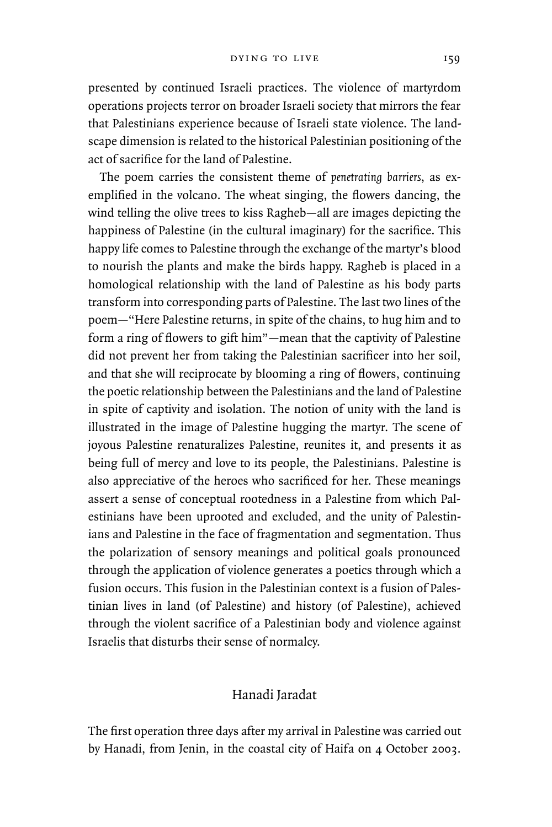presented by continued Israeli practices. The violence of martyrdom operations projects terror on broader Israeli society that mirrors the fear that Palestinians experience because of Israeli state violence. The landscape dimension is related to the historical Palestinian positioning of the act of sacrifice for the land of Palestine.

The poem carries the consistent theme of *penetrating barriers*, as exemplified in the volcano. The wheat singing, the flowers dancing, the wind telling the olive trees to kiss Ragheb—all are images depicting the happiness of Palestine (in the cultural imaginary) for the sacrifice. This happy life comes to Palestine through the exchange of the martyr's blood to nourish the plants and make the birds happy. Ragheb is placed in a homological relationship with the land of Palestine as his body parts transform into corresponding parts of Palestine. The last two lines of the poem—''Here Palestine returns, in spite of the chains, to hug him and to form a ring of flowers to gift him''—mean that the captivity of Palestine did not prevent her from taking the Palestinian sacrificer into her soil, and that she will reciprocate by blooming a ring of flowers, continuing the poetic relationship between the Palestinians and the land of Palestine in spite of captivity and isolation. The notion of unity with the land is illustrated in the image of Palestine hugging the martyr. The scene of joyous Palestine renaturalizes Palestine, reunites it, and presents it as being full of mercy and love to its people, the Palestinians. Palestine is also appreciative of the heroes who sacrificed for her. These meanings assert a sense of conceptual rootedness in a Palestine from which Palestinians have been uprooted and excluded, and the unity of Palestinians and Palestine in the face of fragmentation and segmentation. Thus the polarization of sensory meanings and political goals pronounced through the application of violence generates a poetics through which a fusion occurs. This fusion in the Palestinian context is a fusion of Palestinian lives in land (of Palestine) and history (of Palestine), achieved through the violent sacrifice of a Palestinian body and violence against Israelis that disturbs their sense of normalcy.

## Hanadi Jaradat

The first operation three days after my arrival in Palestine was carried out by Hanadi, from Jenin, in the coastal city of Haifa on 4 October 2003.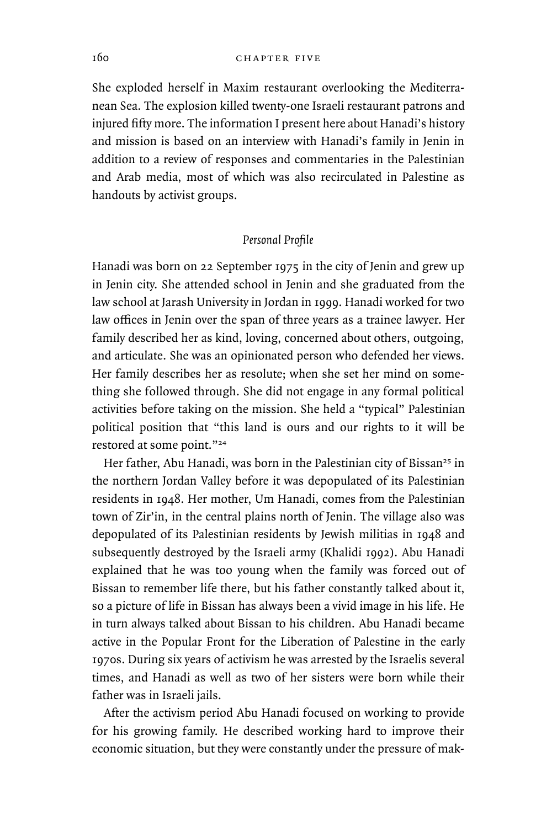160 chapter five

She exploded herself in Maxim restaurant overlooking the Mediterranean Sea. The explosion killed twenty-one Israeli restaurant patrons and injured fifty more. The information I present here about Hanadi's history and mission is based on an interview with Hanadi's family in Jenin in addition to a review of responses and commentaries in the Palestinian and Arab media, most of which was also recirculated in Palestine as handouts by activist groups.

### *Personal Profile*

Hanadi was born on 22 September 1975 in the city of Jenin and grew up in Jenin city. She attended school in Jenin and she graduated from the law school at Jarash University in Jordan in 1999. Hanadi worked for two law offices in Jenin over the span of three years as a trainee lawyer. Her family described her as kind, loving, concerned about others, outgoing, and articulate. She was an opinionated person who defended her views. Her family describes her as resolute; when she set her mind on something she followed through. She did not engage in any formal political activities before taking on the mission. She held a ''typical'' Palestinian political position that ''this land is ours and our rights to it will be restored at some point."<sup>24</sup>

Her father, Abu Hanadi, was born in the Palestinian city of Bissan<sup>25</sup> in the northern Jordan Valley before it was depopulated of its Palestinian residents in 1948. Her mother, Um Hanadi, comes from the Palestinian town of Zir'in, in the central plains north of Jenin. The village also was depopulated of its Palestinian residents by Jewish militias in 1948 and subsequently destroyed by the Israeli army (Khalidi 1992). Abu Hanadi explained that he was too young when the family was forced out of Bissan to remember life there, but his father constantly talked about it, so a picture of life in Bissan has always been a vivid image in his life. He in turn always talked about Bissan to his children. Abu Hanadi became active in the Popular Front for the Liberation of Palestine in the early 1970s. During six years of activism he was arrested by the Israelis several times, and Hanadi as well as two of her sisters were born while their father was in Israeli jails.

After the activism period Abu Hanadi focused on working to provide for his growing family. He described working hard to improve their economic situation, but they were constantly under the pressure of mak-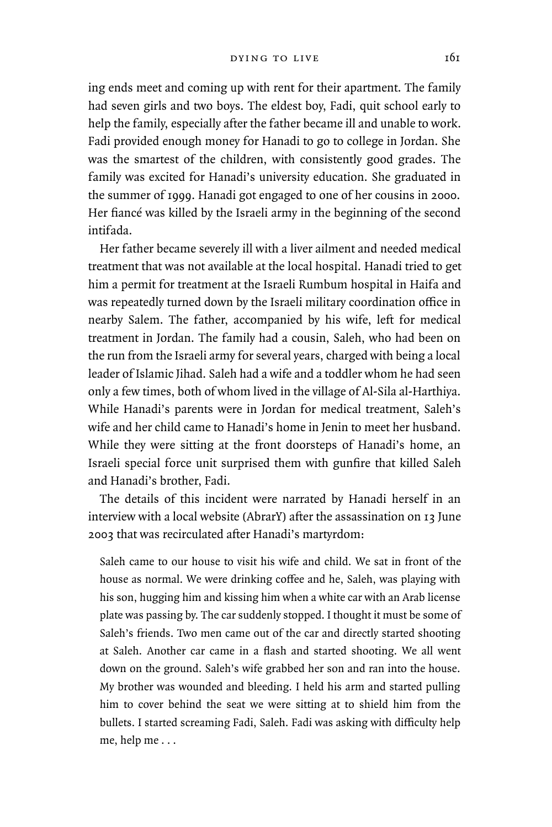ing ends meet and coming up with rent for their apartment. The family had seven girls and two boys. The eldest boy, Fadi, quit school early to help the family, especially after the father became ill and unable to work. Fadi provided enough money for Hanadi to go to college in Jordan. She was the smartest of the children, with consistently good grades. The family was excited for Hanadi's university education. She graduated in the summer of 1999. Hanadi got engaged to one of her cousins in 2000. Her fiancé was killed by the Israeli army in the beginning of the second intifada.

Her father became severely ill with a liver ailment and needed medical treatment that was not available at the local hospital. Hanadi tried to get him a permit for treatment at the Israeli Rumbum hospital in Haifa and was repeatedly turned down by the Israeli military coordination office in nearby Salem. The father, accompanied by his wife, left for medical treatment in Jordan. The family had a cousin, Saleh, who had been on the run from the Israeli army for several years, charged with being a local leader of Islamic Jihad. Saleh had a wife and a toddler whom he had seen only a few times, both of whom lived in the village of Al-Sila al-Harthiya. While Hanadi's parents were in Jordan for medical treatment, Saleh's wife and her child came to Hanadi's home in Jenin to meet her husband. While they were sitting at the front doorsteps of Hanadi's home, an Israeli special force unit surprised them with gunfire that killed Saleh and Hanadi's brother, Fadi.

The details of this incident were narrated by Hanadi herself in an interview with a local website (AbrarY) after the assassination on 13 June 2003 that was recirculated after Hanadi's martyrdom:

Saleh came to our house to visit his wife and child. We sat in front of the house as normal. We were drinking coffee and he, Saleh, was playing with his son, hugging him and kissing him when a white car with an Arab license plate was passing by. The car suddenly stopped. I thought it must be some of Saleh's friends. Two men came out of the car and directly started shooting at Saleh. Another car came in a flash and started shooting. We all went down on the ground. Saleh's wife grabbed her son and ran into the house. My brother was wounded and bleeding. I held his arm and started pulling him to cover behind the seat we were sitting at to shield him from the bullets. I started screaming Fadi, Saleh. Fadi was asking with difficulty help me, help me . . .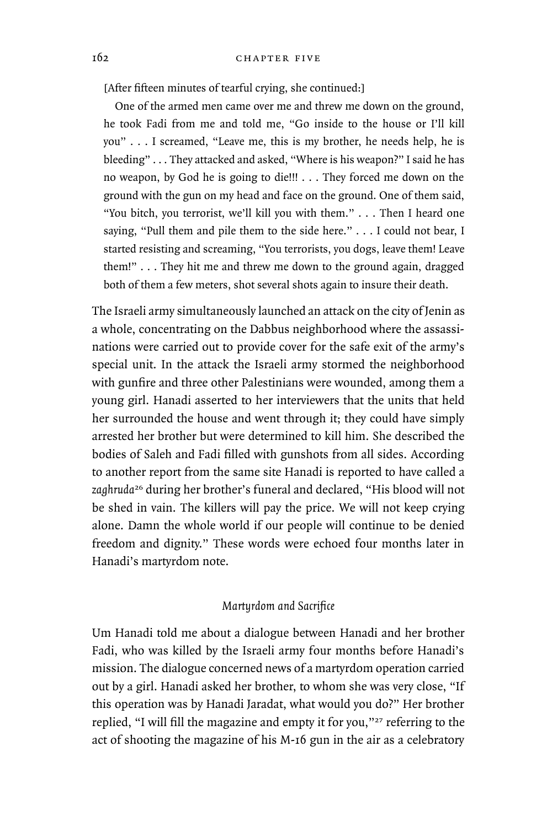#### 162 chapter five

[After fifteen minutes of tearful crying, she continued:]

One of the armed men came over me and threw me down on the ground, he took Fadi from me and told me, ''Go inside to the house or I'll kill you'' . . . I screamed, ''Leave me, this is my brother, he needs help, he is bleeding'' . . . They attacked and asked, ''Where is his weapon?'' I said he has no weapon, by God he is going to die!!! . . . They forced me down on the ground with the gun on my head and face on the ground. One of them said, "You bitch, you terrorist, we'll kill you with them." . . . Then I heard one saying, "Pull them and pile them to the side here."  $\ldots$  I could not bear, I started resisting and screaming, ''You terrorists, you dogs, leave them! Leave them!'' . . . They hit me and threw me down to the ground again, dragged both of them a few meters, shot several shots again to insure their death.

The Israeli army simultaneously launched an attack on the city of Jenin as a whole, concentrating on the Dabbus neighborhood where the assassinations were carried out to provide cover for the safe exit of the army's special unit. In the attack the Israeli army stormed the neighborhood with gunfire and three other Palestinians were wounded, among them a young girl. Hanadi asserted to her interviewers that the units that held her surrounded the house and went through it; they could have simply arrested her brother but were determined to kill him. She described the bodies of Saleh and Fadi filled with gunshots from all sides. According to another report from the same site Hanadi is reported to have called a zaghruda<sup>26</sup> during her brother's funeral and declared, "His blood will not be shed in vain. The killers will pay the price. We will not keep crying alone. Damn the whole world if our people will continue to be denied freedom and dignity.'' These words were echoed four months later in Hanadi's martyrdom note.

### *Martyrdom and Sacrifice*

Um Hanadi told me about a dialogue between Hanadi and her brother Fadi, who was killed by the Israeli army four months before Hanadi's mission. The dialogue concerned news of a martyrdom operation carried out by a girl. Hanadi asked her brother, to whom she was very close, ''If this operation was by Hanadi Jaradat, what would you do?'' Her brother replied, "I will fill the magazine and empty it for you,"<sup>27</sup> referring to the act of shooting the magazine of his M-16 gun in the air as a celebratory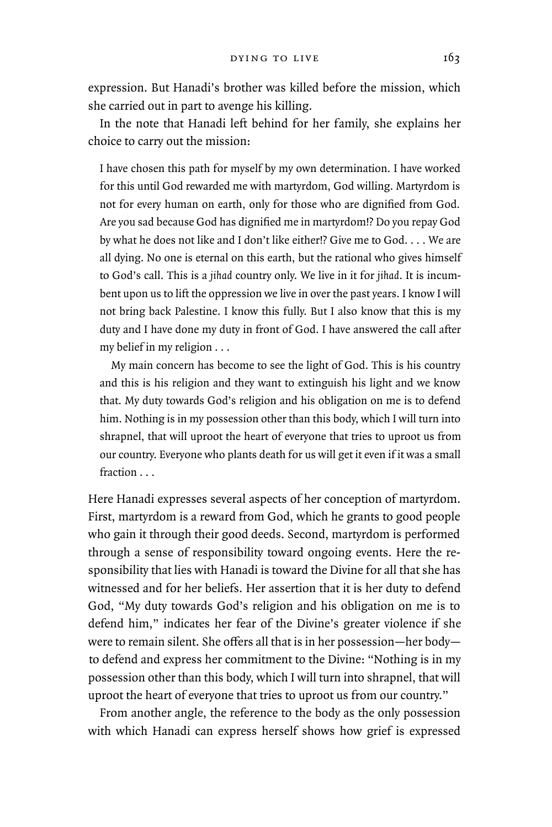expression. But Hanadi's brother was killed before the mission, which she carried out in part to avenge his killing.

In the note that Hanadi left behind for her family, she explains her choice to carry out the mission:

I have chosen this path for myself by my own determination. I have worked for this until God rewarded me with martyrdom, God willing. Martyrdom is not for every human on earth, only for those who are dignified from God. Are you sad because God has dignified me in martyrdom!? Do you repay God by what he does not like and I don't like either!? Give me to God. . . . We are all dying. No one is eternal on this earth, but the rational who gives himself to God's call. This is a *jihad* country only. We live in it for *jihad*. It is incumbent upon us to lift the oppression we live in over the past years. I know I will not bring back Palestine. I know this fully. But I also know that this is my duty and I have done my duty in front of God. I have answered the call after my belief in my religion . . .

My main concern has become to see the light of God. This is his country and this is his religion and they want to extinguish his light and we know that. My duty towards God's religion and his obligation on me is to defend him. Nothing is in my possession other than this body, which I will turn into shrapnel, that will uproot the heart of everyone that tries to uproot us from our country. Everyone who plants death for us will get it even if it was a small fraction

Here Hanadi expresses several aspects of her conception of martyrdom. First, martyrdom is a reward from God, which he grants to good people who gain it through their good deeds. Second, martyrdom is performed through a sense of responsibility toward ongoing events. Here the responsibility that lies with Hanadi is toward the Divine for all that she has witnessed and for her beliefs. Her assertion that it is her duty to defend God, ''My duty towards God's religion and his obligation on me is to defend him,'' indicates her fear of the Divine's greater violence if she were to remain silent. She offers all that is in her possession—her body to defend and express her commitment to the Divine: ''Nothing is in my possession other than this body, which I will turn into shrapnel, that will uproot the heart of everyone that tries to uproot us from our country.''

From another angle, the reference to the body as the only possession with which Hanadi can express herself shows how grief is expressed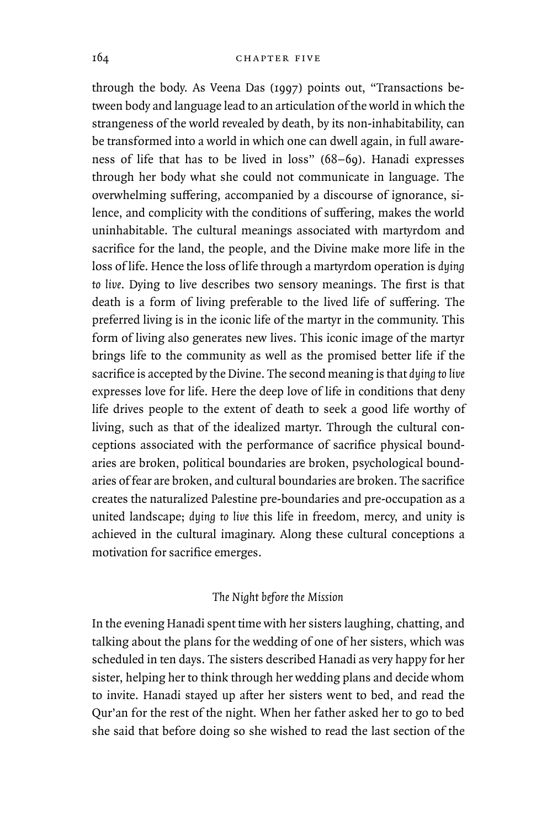#### 164 CHAPTER FIVE

through the body. As Veena Das (1997) points out, ''Transactions between body and language lead to an articulation of the world in which the strangeness of the world revealed by death, by its non-inhabitability, can be transformed into a world in which one can dwell again, in full awareness of life that has to be lived in loss'' (68–69). Hanadi expresses through her body what she could not communicate in language. The overwhelming suffering, accompanied by a discourse of ignorance, silence, and complicity with the conditions of suffering, makes the world uninhabitable. The cultural meanings associated with martyrdom and sacrifice for the land, the people, and the Divine make more life in the loss of life. Hence the loss of life through a martyrdom operation is *dying to live*. Dying to live describes two sensory meanings. The first is that death is a form of living preferable to the lived life of suffering. The preferred living is in the iconic life of the martyr in the community. This form of living also generates new lives. This iconic image of the martyr brings life to the community as well as the promised better life if the sacrifice is accepted by the Divine. The second meaning is that *dying to live* expresses love for life. Here the deep love of life in conditions that deny life drives people to the extent of death to seek a good life worthy of living, such as that of the idealized martyr. Through the cultural conceptions associated with the performance of sacrifice physical boundaries are broken, political boundaries are broken, psychological boundaries of fear are broken, and cultural boundaries are broken. The sacrifice creates the naturalized Palestine pre-boundaries and pre-occupation as a united landscape; *dying to live* this life in freedom, mercy, and unity is achieved in the cultural imaginary. Along these cultural conceptions a motivation for sacrifice emerges.

# *The Night before the Mission*

In the evening Hanadi spent time with her sisters laughing, chatting, and talking about the plans for the wedding of one of her sisters, which was scheduled in ten days. The sisters described Hanadi as very happy for her sister, helping her to think through her wedding plans and decide whom to invite. Hanadi stayed up after her sisters went to bed, and read the Qur'an for the rest of the night. When her father asked her to go to bed she said that before doing so she wished to read the last section of the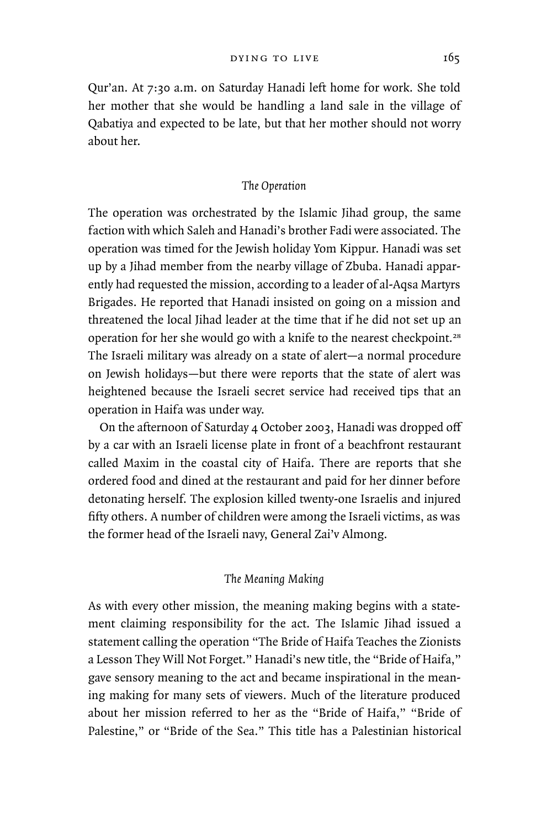Qur'an. At 7:30 a.m. on Saturday Hanadi left home for work. She told her mother that she would be handling a land sale in the village of Qabatiya and expected to be late, but that her mother should not worry about her.

### *The Operation*

The operation was orchestrated by the Islamic Jihad group, the same faction with which Saleh and Hanadi's brother Fadi were associated. The operation was timed for the Jewish holiday Yom Kippur. Hanadi was set up by a Jihad member from the nearby village of Zbuba. Hanadi apparently had requested the mission, according to a leader of al-Aqsa Martyrs Brigades. He reported that Hanadi insisted on going on a mission and threatened the local Jihad leader at the time that if he did not set up an operation for her she would go with a knife to the nearest checkpoint.<sup>28</sup> The Israeli military was already on a state of alert—a normal procedure on Jewish holidays—but there were reports that the state of alert was heightened because the Israeli secret service had received tips that an operation in Haifa was under way.

On the afternoon of Saturday 4 October 2003, Hanadi was dropped off by a car with an Israeli license plate in front of a beachfront restaurant called Maxim in the coastal city of Haifa. There are reports that she ordered food and dined at the restaurant and paid for her dinner before detonating herself. The explosion killed twenty-one Israelis and injured fifty others. A number of children were among the Israeli victims, as was the former head of the Israeli navy, General Zai'v Almong.

### *The Meaning Making*

As with every other mission, the meaning making begins with a statement claiming responsibility for the act. The Islamic Jihad issued a statement calling the operation ''The Bride of Haifa Teaches the Zionists a Lesson They Will Not Forget.'' Hanadi's new title, the ''Bride of Haifa,'' gave sensory meaning to the act and became inspirational in the meaning making for many sets of viewers. Much of the literature produced about her mission referred to her as the ''Bride of Haifa,'' ''Bride of Palestine,'' or ''Bride of the Sea.'' This title has a Palestinian historical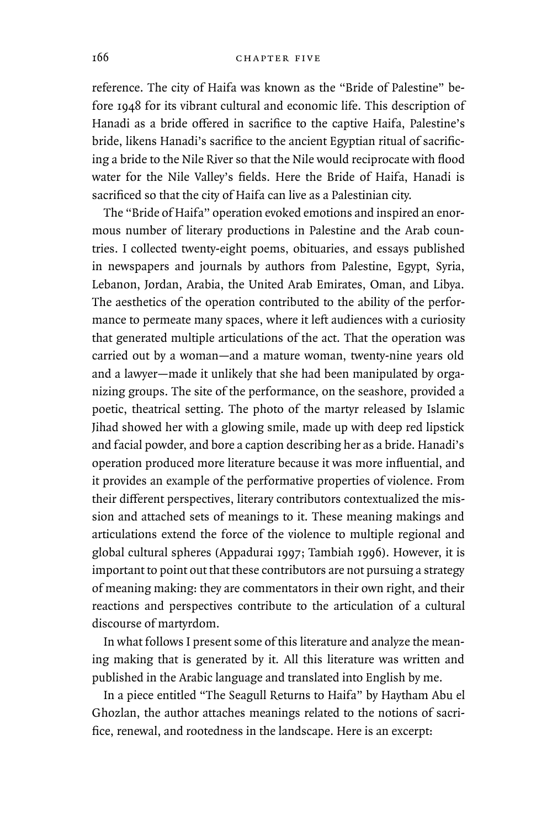reference. The city of Haifa was known as the ''Bride of Palestine'' before 1948 for its vibrant cultural and economic life. This description of Hanadi as a bride offered in sacrifice to the captive Haifa, Palestine's bride, likens Hanadi's sacrifice to the ancient Egyptian ritual of sacrificing a bride to the Nile River so that the Nile would reciprocate with flood water for the Nile Valley's fields. Here the Bride of Haifa, Hanadi is sacrificed so that the city of Haifa can live as a Palestinian city.

The ''Bride of Haifa'' operation evoked emotions and inspired an enormous number of literary productions in Palestine and the Arab countries. I collected twenty-eight poems, obituaries, and essays published in newspapers and journals by authors from Palestine, Egypt, Syria, Lebanon, Jordan, Arabia, the United Arab Emirates, Oman, and Libya. The aesthetics of the operation contributed to the ability of the performance to permeate many spaces, where it left audiences with a curiosity that generated multiple articulations of the act. That the operation was carried out by a woman—and a mature woman, twenty-nine years old and a lawyer—made it unlikely that she had been manipulated by organizing groups. The site of the performance, on the seashore, provided a poetic, theatrical setting. The photo of the martyr released by Islamic Jihad showed her with a glowing smile, made up with deep red lipstick and facial powder, and bore a caption describing her as a bride. Hanadi's operation produced more literature because it was more influential, and it provides an example of the performative properties of violence. From their different perspectives, literary contributors contextualized the mission and attached sets of meanings to it. These meaning makings and articulations extend the force of the violence to multiple regional and global cultural spheres (Appadurai 1997; Tambiah 1996). However, it is important to point out that these contributors are not pursuing a strategy of meaning making: they are commentators in their own right, and their reactions and perspectives contribute to the articulation of a cultural discourse of martyrdom.

In what follows I present some of this literature and analyze the meaning making that is generated by it. All this literature was written and published in the Arabic language and translated into English by me.

In a piece entitled ''The Seagull Returns to Haifa'' by Haytham Abu el Ghozlan, the author attaches meanings related to the notions of sacrifice, renewal, and rootedness in the landscape. Here is an excerpt: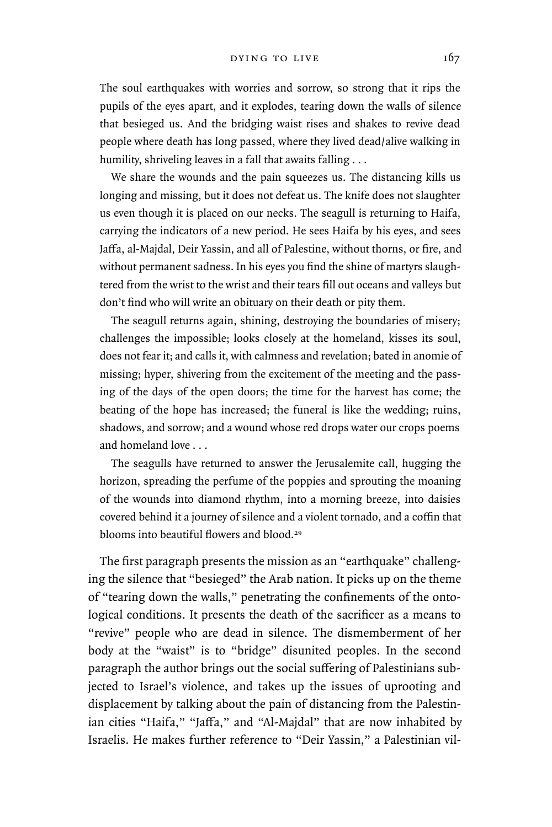The soul earthquakes with worries and sorrow, so strong that it rips the pupils of the eyes apart, and it explodes, tearing down the walls of silence that besieged us. And the bridging waist rises and shakes to revive dead people where death has long passed, where they lived dead/alive walking in humility, shriveling leaves in a fall that awaits falling . . .

We share the wounds and the pain squeezes us. The distancing kills us longing and missing, but it does not defeat us. The knife does not slaughter us even though it is placed on our necks. The seagull is returning to Haifa, carrying the indicators of a new period. He sees Haifa by his eyes, and sees Jaffa, al-Majdal, Deir Yassin, and all of Palestine, without thorns, or fire, and without permanent sadness. In his eyes you find the shine of martyrs slaughtered from the wrist to the wrist and their tears fill out oceans and valleys but don't find who will write an obituary on their death or pity them.

The seagull returns again, shining, destroying the boundaries of misery; challenges the impossible; looks closely at the homeland, kisses its soul, does not fear it; and calls it, with calmness and revelation; bated in anomie of missing; hyper, shivering from the excitement of the meeting and the passing of the days of the open doors; the time for the harvest has come; the beating of the hope has increased; the funeral is like the wedding; ruins, shadows, and sorrow; and a wound whose red drops water our crops poems and homeland love

The seagulls have returned to answer the Jerusalemite call, hugging the horizon, spreading the perfume of the poppies and sprouting the moaning of the wounds into diamond rhythm, into a morning breeze, into daisies covered behind it a journey of silence and a violent tornado, and a coffin that blooms into beautiful flowers and blood.<sup>29</sup>

The first paragraph presents the mission as an ''earthquake'' challenging the silence that ''besieged'' the Arab nation. It picks up on the theme of ''tearing down the walls,'' penetrating the confinements of the ontological conditions. It presents the death of the sacrificer as a means to "revive" people who are dead in silence. The dismemberment of her body at the ''waist'' is to ''bridge'' disunited peoples. In the second paragraph the author brings out the social suffering of Palestinians subjected to Israel's violence, and takes up the issues of uprooting and displacement by talking about the pain of distancing from the Palestinian cities "Haifa," "Jaffa," and "Al-Majdal" that are now inhabited by Israelis. He makes further reference to ''Deir Yassin,'' a Palestinian vil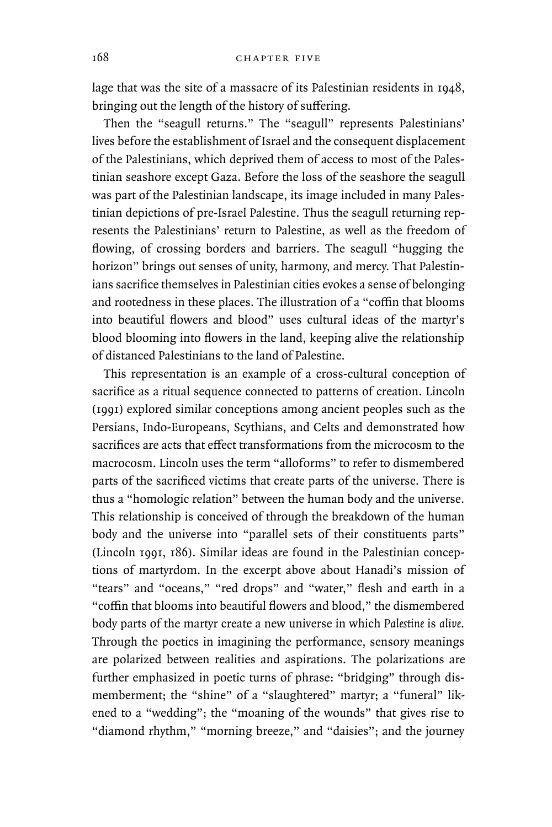lage that was the site of a massacre of its Palestinian residents in 1948, bringing out the length of the history of suffering.

Then the ''seagull returns.'' The ''seagull'' represents Palestinians' lives before the establishment of Israel and the consequent displacement of the Palestinians, which deprived them of access to most of the Palestinian seashore except Gaza. Before the loss of the seashore the seagull was part of the Palestinian landscape, its image included in many Palestinian depictions of pre-Israel Palestine. Thus the seagull returning represents the Palestinians' return to Palestine, as well as the freedom of flowing, of crossing borders and barriers. The seagull ''hugging the horizon'' brings out senses of unity, harmony, and mercy. That Palestinians sacrifice themselves in Palestinian cities evokes a sense of belonging and rootedness in these places. The illustration of a "coffin that blooms" into beautiful flowers and blood'' uses cultural ideas of the martyr's blood blooming into flowers in the land, keeping alive the relationship of distanced Palestinians to the land of Palestine.

This representation is an example of a cross-cultural conception of sacrifice as a ritual sequence connected to patterns of creation. Lincoln (1991) explored similar conceptions among ancient peoples such as the Persians, Indo-Europeans, Scythians, and Celts and demonstrated how sacrifices are acts that effect transformations from the microcosm to the macrocosm. Lincoln uses the term ''alloforms'' to refer to dismembered parts of the sacrificed victims that create parts of the universe. There is thus a ''homologic relation'' between the human body and the universe. This relationship is conceived of through the breakdown of the human body and the universe into ''parallel sets of their constituents parts'' (Lincoln 1991, 186). Similar ideas are found in the Palestinian conceptions of martyrdom. In the excerpt above about Hanadi's mission of "tears" and "oceans," "red drops" and "water," flesh and earth in a "coffin that blooms into beautiful flowers and blood," the dismembered body parts of the martyr create a new universe in which *Palestine* is *alive*. Through the poetics in imagining the performance, sensory meanings are polarized between realities and aspirations. The polarizations are further emphasized in poetic turns of phrase: ''bridging'' through dismemberment; the "shine" of a "slaughtered" martyr; a "funeral" likened to a ''wedding''; the ''moaning of the wounds'' that gives rise to "diamond rhythm," "morning breeze," and "daisies"; and the journey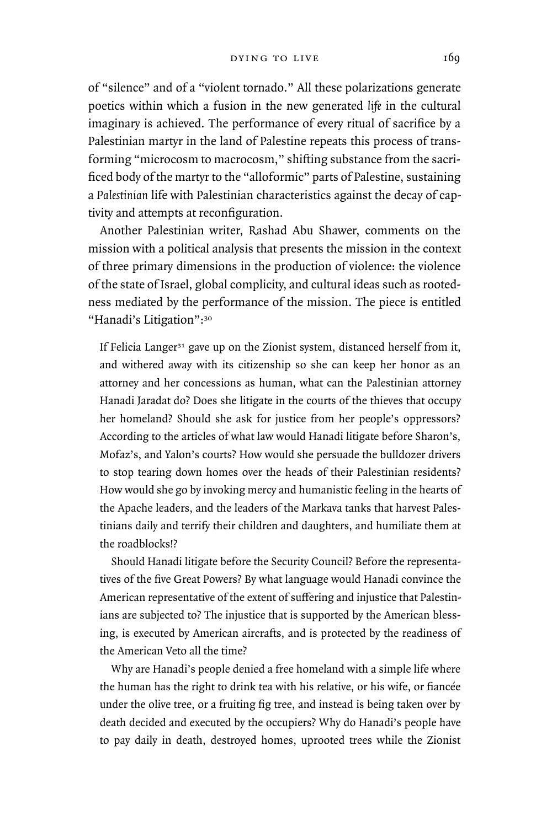of ''silence'' and of a ''violent tornado.'' All these polarizations generate poetics within which a fusion in the new generated *life* in the cultural imaginary is achieved. The performance of every ritual of sacrifice by a Palestinian martyr in the land of Palestine repeats this process of transforming ''microcosm to macrocosm,'' shifting substance from the sacrificed body of the martyr to the ''alloformic'' parts of Palestine, sustaining a *Palestinian* life with Palestinian characteristics against the decay of captivity and attempts at reconfiguration.

Another Palestinian writer, Rashad Abu Shawer, comments on the mission with a political analysis that presents the mission in the context of three primary dimensions in the production of violence: the violence of the state of Israel, global complicity, and cultural ideas such as rootedness mediated by the performance of the mission. The piece is entitled ''Hanadi's Litigation'':≥≠

If Felicia Langer<sup>31</sup> gave up on the Zionist system, distanced herself from it, and withered away with its citizenship so she can keep her honor as an attorney and her concessions as human, what can the Palestinian attorney Hanadi Jaradat do? Does she litigate in the courts of the thieves that occupy her homeland? Should she ask for justice from her people's oppressors? According to the articles of what law would Hanadi litigate before Sharon's, Mofaz's, and Yalon's courts? How would she persuade the bulldozer drivers to stop tearing down homes over the heads of their Palestinian residents? How would she go by invoking mercy and humanistic feeling in the hearts of the Apache leaders, and the leaders of the Markava tanks that harvest Palestinians daily and terrify their children and daughters, and humiliate them at the roadblocks!?

Should Hanadi litigate before the Security Council? Before the representatives of the five Great Powers? By what language would Hanadi convince the American representative of the extent of suffering and injustice that Palestinians are subjected to? The injustice that is supported by the American blessing, is executed by American aircrafts, and is protected by the readiness of the American Veto all the time?

Why are Hanadi's people denied a free homeland with a simple life where the human has the right to drink tea with his relative, or his wife, or fiancée under the olive tree, or a fruiting fig tree, and instead is being taken over by death decided and executed by the occupiers? Why do Hanadi's people have to pay daily in death, destroyed homes, uprooted trees while the Zionist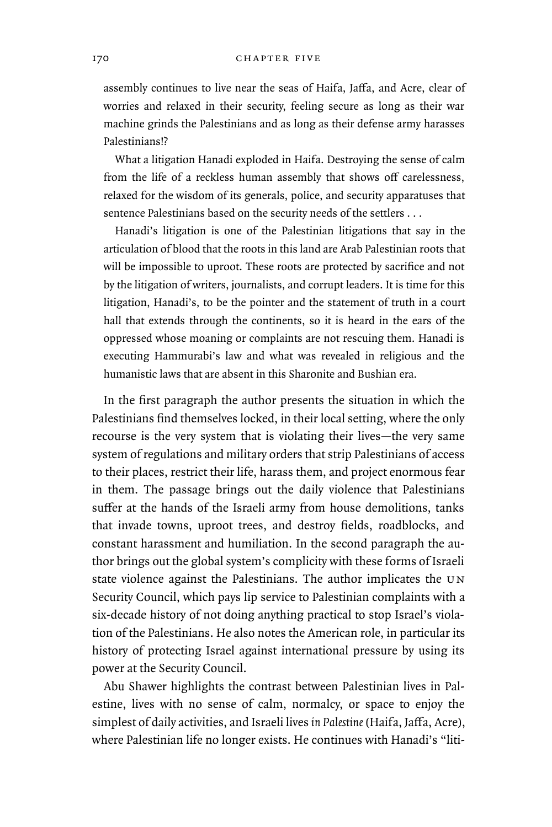assembly continues to live near the seas of Haifa, Jaffa, and Acre, clear of worries and relaxed in their security, feeling secure as long as their war machine grinds the Palestinians and as long as their defense army harasses Palestinians!?

What a litigation Hanadi exploded in Haifa. Destroying the sense of calm from the life of a reckless human assembly that shows off carelessness, relaxed for the wisdom of its generals, police, and security apparatuses that sentence Palestinians based on the security needs of the settlers . . .

Hanadi's litigation is one of the Palestinian litigations that say in the articulation of blood that the roots in this land are Arab Palestinian roots that will be impossible to uproot. These roots are protected by sacrifice and not by the litigation of writers, journalists, and corrupt leaders. It is time for this litigation, Hanadi's, to be the pointer and the statement of truth in a court hall that extends through the continents, so it is heard in the ears of the oppressed whose moaning or complaints are not rescuing them. Hanadi is executing Hammurabi's law and what was revealed in religious and the humanistic laws that are absent in this Sharonite and Bushian era.

In the first paragraph the author presents the situation in which the Palestinians find themselves locked, in their local setting, where the only recourse is the very system that is violating their lives—the very same system of regulations and military orders that strip Palestinians of access to their places, restrict their life, harass them, and project enormous fear in them. The passage brings out the daily violence that Palestinians suffer at the hands of the Israeli army from house demolitions, tanks that invade towns, uproot trees, and destroy fields, roadblocks, and constant harassment and humiliation. In the second paragraph the author brings out the global system's complicity with these forms of Israeli state violence against the Palestinians. The author implicates the un Security Council, which pays lip service to Palestinian complaints with a six-decade history of not doing anything practical to stop Israel's violation of the Palestinians. He also notes the American role, in particular its history of protecting Israel against international pressure by using its power at the Security Council.

Abu Shawer highlights the contrast between Palestinian lives in Palestine, lives with no sense of calm, normalcy, or space to enjoy the simplest of daily activities, and Israeli lives in Palestine (Haifa, Jaffa, Acre), where Palestinian life no longer exists. He continues with Hanadi's ''liti-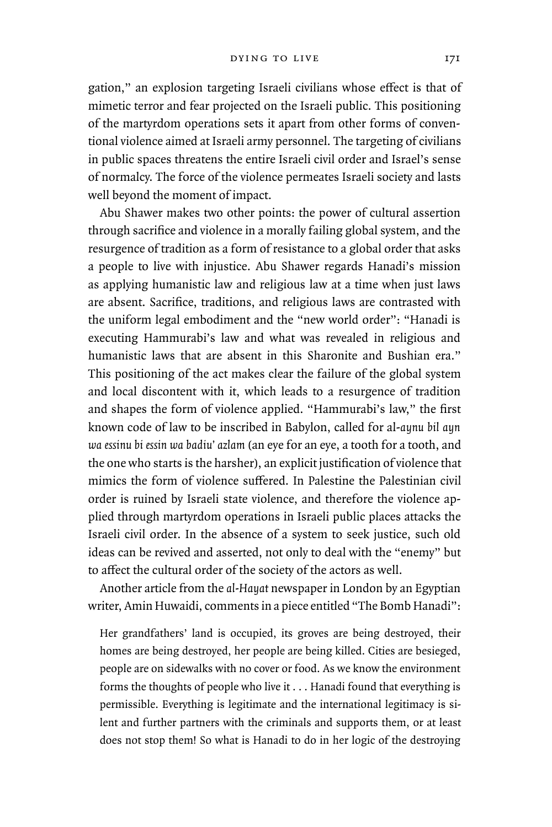gation," an explosion targeting Israeli civilians whose effect is that of mimetic terror and fear projected on the Israeli public. This positioning of the martyrdom operations sets it apart from other forms of conventional violence aimed at Israeli army personnel. The targeting of civilians in public spaces threatens the entire Israeli civil order and Israel's sense of normalcy. The force of the violence permeates Israeli society and lasts well beyond the moment of impact.

Abu Shawer makes two other points: the power of cultural assertion through sacrifice and violence in a morally failing global system, and the resurgence of tradition as a form of resistance to a global order that asks a people to live with injustice. Abu Shawer regards Hanadi's mission as applying humanistic law and religious law at a time when just laws are absent. Sacrifice, traditions, and religious laws are contrasted with the uniform legal embodiment and the ''new world order'': ''Hanadi is executing Hammurabi's law and what was revealed in religious and humanistic laws that are absent in this Sharonite and Bushian era.'' This positioning of the act makes clear the failure of the global system and local discontent with it, which leads to a resurgence of tradition and shapes the form of violence applied. ''Hammurabi's law,'' the first known code of law to be inscribed in Babylon, called for al-*aynu bil ayn wa essinu bi essin wa badiu' azlam* (an eye for an eye, a tooth for a tooth, and the one who starts is the harsher), an explicit justification of violence that mimics the form of violence suffered. In Palestine the Palestinian civil order is ruined by Israeli state violence, and therefore the violence applied through martyrdom operations in Israeli public places attacks the Israeli civil order. In the absence of a system to seek justice, such old ideas can be revived and asserted, not only to deal with the ''enemy'' but to affect the cultural order of the society of the actors as well.

Another article from the *al-Hayat* newspaper in London by an Egyptian writer, Amin Huwaidi, comments in a piece entitled "The Bomb Hanadi":

Her grandfathers' land is occupied, its groves are being destroyed, their homes are being destroyed, her people are being killed. Cities are besieged, people are on sidewalks with no cover or food. As we know the environment forms the thoughts of people who live it . . . Hanadi found that everything is permissible. Everything is legitimate and the international legitimacy is silent and further partners with the criminals and supports them, or at least does not stop them! So what is Hanadi to do in her logic of the destroying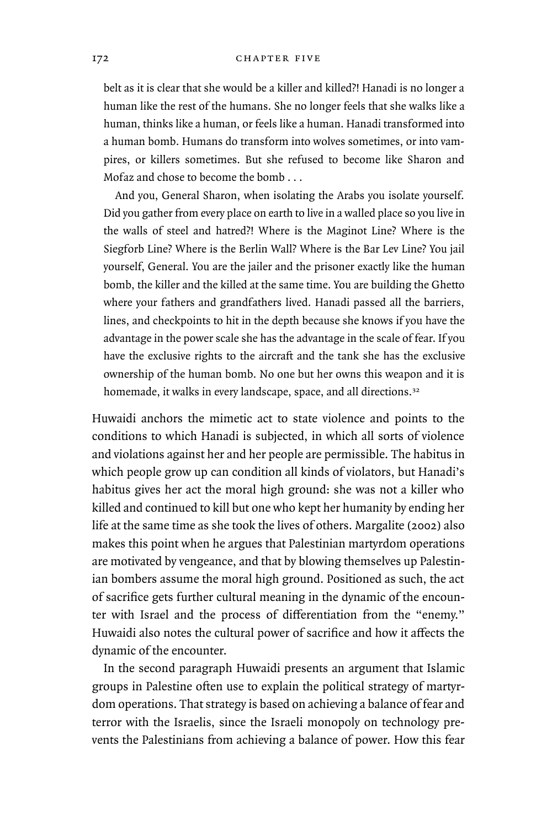#### 172 CHAPTER FIVE

belt as it is clear that she would be a killer and killed?! Hanadi is no longer a human like the rest of the humans. She no longer feels that she walks like a human, thinks like a human, or feels like a human. Hanadi transformed into a human bomb. Humans do transform into wolves sometimes, or into vampires, or killers sometimes. But she refused to become like Sharon and Mofaz and chose to become the bomb

And you, General Sharon, when isolating the Arabs you isolate yourself. Did you gather from every place on earth to live in a walled place so you live in the walls of steel and hatred?! Where is the Maginot Line? Where is the Siegforb Line? Where is the Berlin Wall? Where is the Bar Lev Line? You jail yourself, General. You are the jailer and the prisoner exactly like the human bomb, the killer and the killed at the same time. You are building the Ghetto where your fathers and grandfathers lived. Hanadi passed all the barriers, lines, and checkpoints to hit in the depth because she knows if you have the advantage in the power scale she has the advantage in the scale of fear. If you have the exclusive rights to the aircraft and the tank she has the exclusive ownership of the human bomb. No one but her owns this weapon and it is homemade, it walks in every landscape, space, and all directions.<sup>32</sup>

Huwaidi anchors the mimetic act to state violence and points to the conditions to which Hanadi is subjected, in which all sorts of violence and violations against her and her people are permissible. The habitus in which people grow up can condition all kinds of violators, but Hanadi's habitus gives her act the moral high ground: she was not a killer who killed and continued to kill but one who kept her humanity by ending her life at the same time as she took the lives of others. Margalite (2002) also makes this point when he argues that Palestinian martyrdom operations are motivated by vengeance, and that by blowing themselves up Palestinian bombers assume the moral high ground. Positioned as such, the act of sacrifice gets further cultural meaning in the dynamic of the encounter with Israel and the process of differentiation from the "enemy." Huwaidi also notes the cultural power of sacrifice and how it affects the dynamic of the encounter.

In the second paragraph Huwaidi presents an argument that Islamic groups in Palestine often use to explain the political strategy of martyrdom operations. That strategy is based on achieving a balance of fear and terror with the Israelis, since the Israeli monopoly on technology prevents the Palestinians from achieving a balance of power. How this fear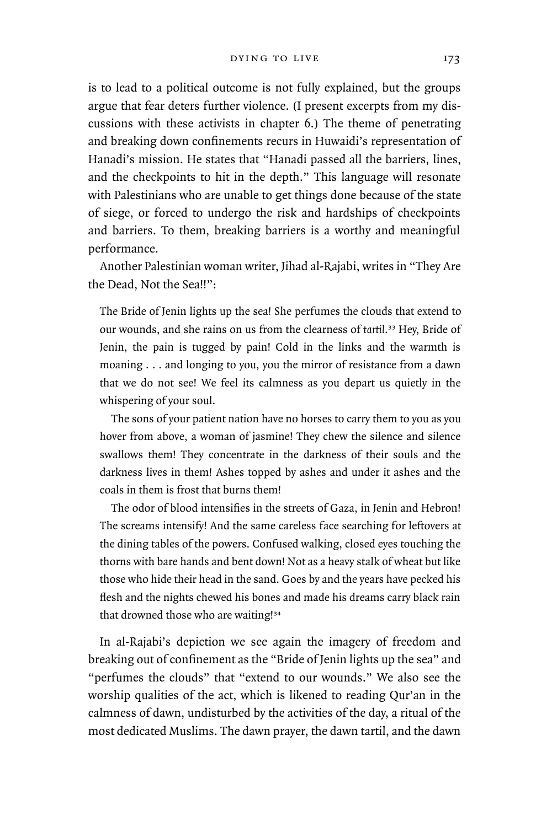is to lead to a political outcome is not fully explained, but the groups argue that fear deters further violence. (I present excerpts from my discussions with these activists in chapter 6.) The theme of penetrating and breaking down confinements recurs in Huwaidi's representation of Hanadi's mission. He states that ''Hanadi passed all the barriers, lines, and the checkpoints to hit in the depth.'' This language will resonate with Palestinians who are unable to get things done because of the state of siege, or forced to undergo the risk and hardships of checkpoints and barriers. To them, breaking barriers is a worthy and meaningful performance.

Another Palestinian woman writer, Jihad al-Rajabi, writes in ''They Are the Dead, Not the Sea!!'':

The Bride of Jenin lights up the sea! She perfumes the clouds that extend to our wounds, and she rains on us from the clearness of tartil.<sup>33</sup> Hey, Bride of Jenin, the pain is tugged by pain! Cold in the links and the warmth is moaning . . . and longing to you, you the mirror of resistance from a dawn that we do not see! We feel its calmness as you depart us quietly in the whispering of your soul.

The sons of your patient nation have no horses to carry them to you as you hover from above, a woman of jasmine! They chew the silence and silence swallows them! They concentrate in the darkness of their souls and the darkness lives in them! Ashes topped by ashes and under it ashes and the coals in them is frost that burns them!

The odor of blood intensifies in the streets of Gaza, in Jenin and Hebron! The screams intensify! And the same careless face searching for leftovers at the dining tables of the powers. Confused walking, closed eyes touching the thorns with bare hands and bent down! Not as a heavy stalk of wheat but like those who hide their head in the sand. Goes by and the years have pecked his flesh and the nights chewed his bones and made his dreams carry black rain that drowned those who are waiting!<sup>34</sup>

In al-Rajabi's depiction we see again the imagery of freedom and breaking out of confinement as the ''Bride of Jenin lights up the sea'' and "perfumes the clouds" that "extend to our wounds." We also see the worship qualities of the act, which is likened to reading Qur'an in the calmness of dawn, undisturbed by the activities of the day, a ritual of the most dedicated Muslims. The dawn prayer, the dawn tartil, and the dawn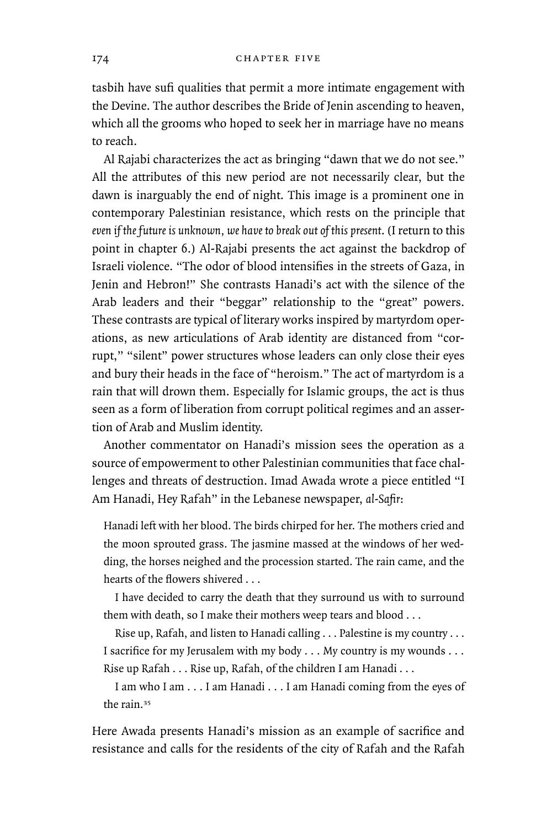tasbih have sufi qualities that permit a more intimate engagement with the Devine. The author describes the Bride of Jenin ascending to heaven, which all the grooms who hoped to seek her in marriage have no means to reach.

Al Rajabi characterizes the act as bringing ''dawn that we do not see.'' All the attributes of this new period are not necessarily clear, but the dawn is inarguably the end of night. This image is a prominent one in contemporary Palestinian resistance, which rests on the principle that *even if the future is unknown, we have to break out of this present*. (I return to this point in chapter 6.) Al-Rajabi presents the act against the backdrop of Israeli violence. ''The odor of blood intensifies in the streets of Gaza, in Jenin and Hebron!'' She contrasts Hanadi's act with the silence of the Arab leaders and their ''beggar'' relationship to the ''great'' powers. These contrasts are typical of literary works inspired by martyrdom operations, as new articulations of Arab identity are distanced from ''corrupt," "silent" power structures whose leaders can only close their eyes and bury their heads in the face of ''heroism.'' The act of martyrdom is a rain that will drown them. Especially for Islamic groups, the act is thus seen as a form of liberation from corrupt political regimes and an assertion of Arab and Muslim identity.

Another commentator on Hanadi's mission sees the operation as a source of empowerment to other Palestinian communities that face challenges and threats of destruction. Imad Awada wrote a piece entitled ''I Am Hanadi, Hey Rafah'' in the Lebanese newspaper, *al-Safir*:

Hanadi left with her blood. The birds chirped for her. The mothers cried and the moon sprouted grass. The jasmine massed at the windows of her wedding, the horses neighed and the procession started. The rain came, and the hearts of the flowers shivered . . .

I have decided to carry the death that they surround us with to surround them with death, so I make their mothers weep tears and blood . . .

Rise up, Rafah, and listen to Hanadi calling . . . Palestine is my country . . . I sacrifice for my Jerusalem with my body . . . My country is my wounds . . . Rise up Rafah . . . Rise up, Rafah, of the children I am Hanadi . . .

I am who I am . . . I am Hanadi . . . I am Hanadi coming from the eyes of the rain.<sup>35</sup>

Here Awada presents Hanadi's mission as an example of sacrifice and resistance and calls for the residents of the city of Rafah and the Rafah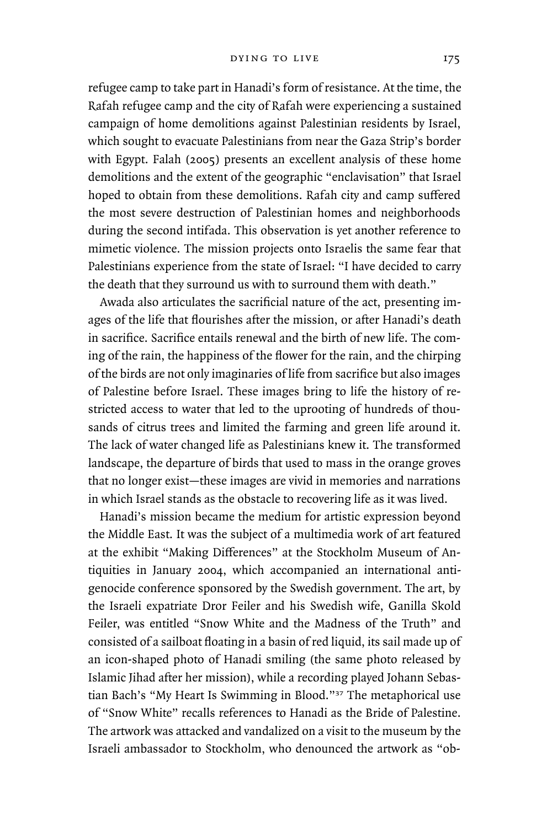refugee camp to take part in Hanadi's form of resistance. At the time, the Rafah refugee camp and the city of Rafah were experiencing a sustained campaign of home demolitions against Palestinian residents by Israel, which sought to evacuate Palestinians from near the Gaza Strip's border with Egypt. Falah (2005) presents an excellent analysis of these home demolitions and the extent of the geographic ''enclavisation'' that Israel hoped to obtain from these demolitions. Rafah city and camp suffered the most severe destruction of Palestinian homes and neighborhoods during the second intifada. This observation is yet another reference to mimetic violence. The mission projects onto Israelis the same fear that Palestinians experience from the state of Israel: ''I have decided to carry the death that they surround us with to surround them with death.''

Awada also articulates the sacrificial nature of the act, presenting images of the life that flourishes after the mission, or after Hanadi's death in sacrifice. Sacrifice entails renewal and the birth of new life. The coming of the rain, the happiness of the flower for the rain, and the chirping of the birds are not only imaginaries of life from sacrifice but also images of Palestine before Israel. These images bring to life the history of restricted access to water that led to the uprooting of hundreds of thousands of citrus trees and limited the farming and green life around it. The lack of water changed life as Palestinians knew it. The transformed landscape, the departure of birds that used to mass in the orange groves that no longer exist—these images are vivid in memories and narrations in which Israel stands as the obstacle to recovering life as it was lived.

Hanadi's mission became the medium for artistic expression beyond the Middle East. It was the subject of a multimedia work of art featured at the exhibit "Making Differences" at the Stockholm Museum of Antiquities in January 2004, which accompanied an international antigenocide conference sponsored by the Swedish government. The art, by the Israeli expatriate Dror Feiler and his Swedish wife, Ganilla Skold Feiler, was entitled ''Snow White and the Madness of the Truth'' and consisted of a sailboat floating in a basin of red liquid, its sail made up of an icon-shaped photo of Hanadi smiling (the same photo released by Islamic Jihad after her mission), while a recording played Johann Sebastian Bach's "My Heart Is Swimming in Blood."<sup>37</sup> The metaphorical use of ''Snow White'' recalls references to Hanadi as the Bride of Palestine. The artwork was attacked and vandalized on a visit to the museum by the Israeli ambassador to Stockholm, who denounced the artwork as ''ob-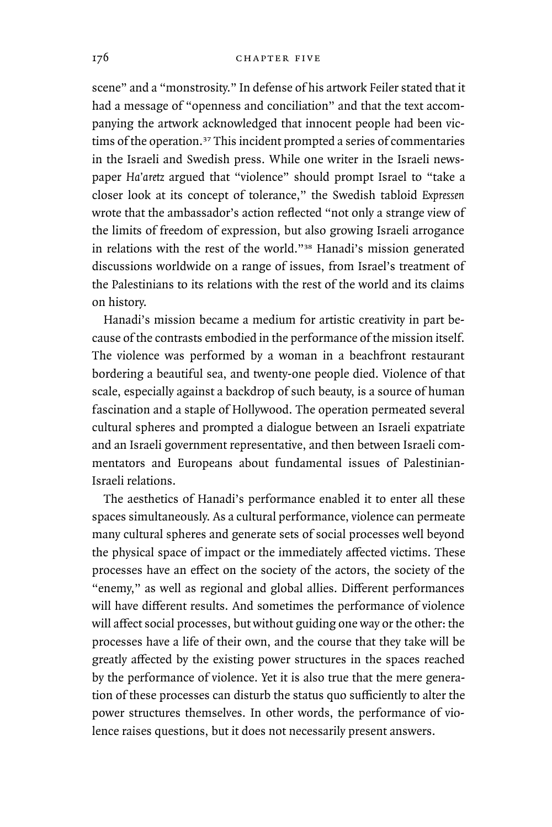scene'' and a ''monstrosity.'' In defense of his artwork Feiler stated that it had a message of ''openness and conciliation'' and that the text accompanying the artwork acknowledged that innocent people had been victims of the operation.<sup>37</sup> This incident prompted a series of commentaries in the Israeli and Swedish press. While one writer in the Israeli newspaper *Ha'aretz* argued that ''violence'' should prompt Israel to ''take a closer look at its concept of tolerance,'' the Swedish tabloid *Expressen* wrote that the ambassador's action reflected ''not only a strange view of the limits of freedom of expression, but also growing Israeli arrogance in relations with the rest of the world."<sup>38</sup> Hanadi's mission generated discussions worldwide on a range of issues, from Israel's treatment of the Palestinians to its relations with the rest of the world and its claims on history.

Hanadi's mission became a medium for artistic creativity in part because of the contrasts embodied in the performance of the mission itself. The violence was performed by a woman in a beachfront restaurant bordering a beautiful sea, and twenty-one people died. Violence of that scale, especially against a backdrop of such beauty, is a source of human fascination and a staple of Hollywood. The operation permeated several cultural spheres and prompted a dialogue between an Israeli expatriate and an Israeli government representative, and then between Israeli commentators and Europeans about fundamental issues of Palestinian-Israeli relations.

The aesthetics of Hanadi's performance enabled it to enter all these spaces simultaneously. As a cultural performance, violence can permeate many cultural spheres and generate sets of social processes well beyond the physical space of impact or the immediately affected victims. These processes have an effect on the society of the actors, the society of the ''enemy,'' as well as regional and global allies. Di√erent performances will have different results. And sometimes the performance of violence will affect social processes, but without guiding one way or the other: the processes have a life of their own, and the course that they take will be greatly affected by the existing power structures in the spaces reached by the performance of violence. Yet it is also true that the mere generation of these processes can disturb the status quo sufficiently to alter the power structures themselves. In other words, the performance of violence raises questions, but it does not necessarily present answers.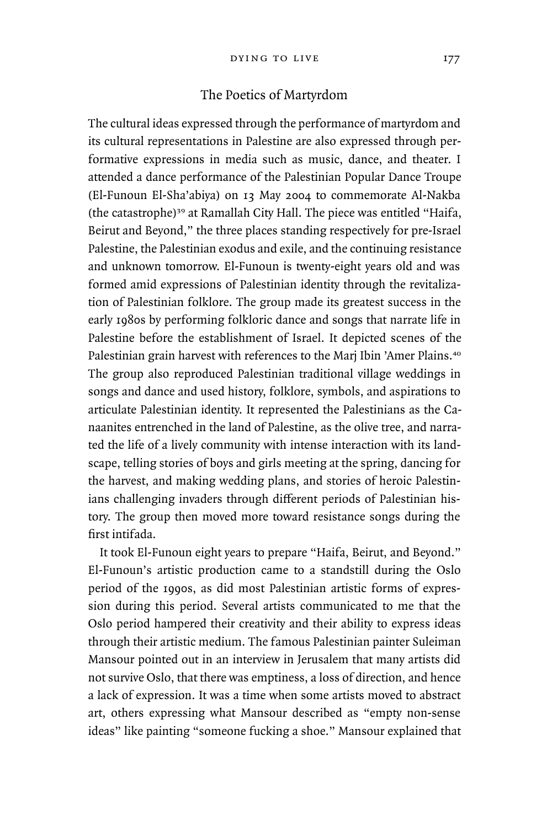### The Poetics of Martyrdom

The cultural ideas expressed through the performance of martyrdom and its cultural representations in Palestine are also expressed through performative expressions in media such as music, dance, and theater. I attended a dance performance of the Palestinian Popular Dance Troupe (El-Funoun El-Sha'abiya) on 13 May 2004 to commemorate Al-Nakba (the catastrophe)<sup>39</sup> at Ramallah City Hall. The piece was entitled "Haifa, Beirut and Beyond,'' the three places standing respectively for pre-Israel Palestine, the Palestinian exodus and exile, and the continuing resistance and unknown tomorrow. El-Funoun is twenty-eight years old and was formed amid expressions of Palestinian identity through the revitalization of Palestinian folklore. The group made its greatest success in the early 1980s by performing folkloric dance and songs that narrate life in Palestine before the establishment of Israel. It depicted scenes of the Palestinian grain harvest with references to the Marj Ibin 'Amer Plains.<sup>40</sup> The group also reproduced Palestinian traditional village weddings in songs and dance and used history, folklore, symbols, and aspirations to articulate Palestinian identity. It represented the Palestinians as the Canaanites entrenched in the land of Palestine, as the olive tree, and narrated the life of a lively community with intense interaction with its landscape, telling stories of boys and girls meeting at the spring, dancing for the harvest, and making wedding plans, and stories of heroic Palestinians challenging invaders through different periods of Palestinian history. The group then moved more toward resistance songs during the first intifada.

It took El-Funoun eight years to prepare ''Haifa, Beirut, and Beyond.'' El-Funoun's artistic production came to a standstill during the Oslo period of the 1990s, as did most Palestinian artistic forms of expression during this period. Several artists communicated to me that the Oslo period hampered their creativity and their ability to express ideas through their artistic medium. The famous Palestinian painter Suleiman Mansour pointed out in an interview in Jerusalem that many artists did not survive Oslo, that there was emptiness, a loss of direction, and hence a lack of expression. It was a time when some artists moved to abstract art, others expressing what Mansour described as ''empty non-sense ideas'' like painting ''someone fucking a shoe.'' Mansour explained that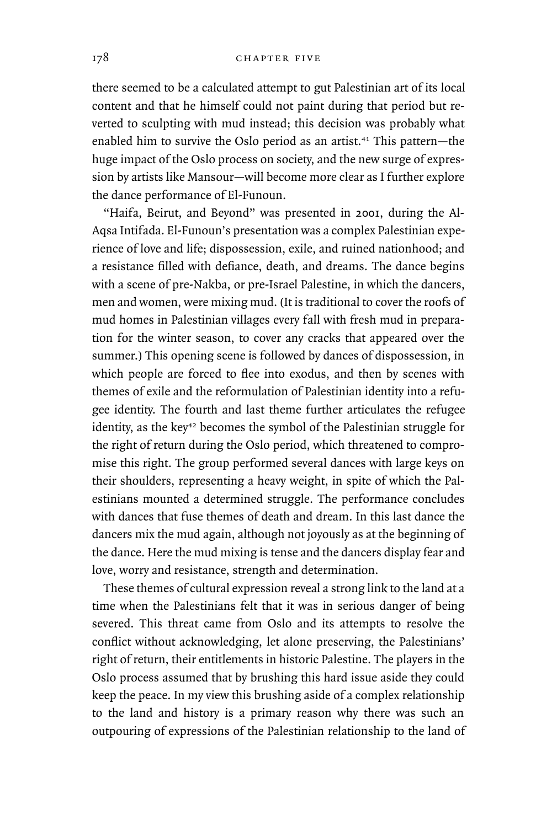#### 178 CHAPTER FIVE

there seemed to be a calculated attempt to gut Palestinian art of its local content and that he himself could not paint during that period but reverted to sculpting with mud instead; this decision was probably what enabled him to survive the Oslo period as an artist.<sup>41</sup> This pattern—the huge impact of the Oslo process on society, and the new surge of expression by artists like Mansour—will become more clear as I further explore the dance performance of El-Funoun.

''Haifa, Beirut, and Beyond'' was presented in 2001, during the Al-Aqsa Intifada. El-Funoun's presentation was a complex Palestinian experience of love and life; dispossession, exile, and ruined nationhood; and a resistance filled with defiance, death, and dreams. The dance begins with a scene of pre-Nakba, or pre-Israel Palestine, in which the dancers, men and women, were mixing mud. (It is traditional to cover the roofs of mud homes in Palestinian villages every fall with fresh mud in preparation for the winter season, to cover any cracks that appeared over the summer.) This opening scene is followed by dances of dispossession, in which people are forced to flee into exodus, and then by scenes with themes of exile and the reformulation of Palestinian identity into a refugee identity. The fourth and last theme further articulates the refugee identity, as the key<sup>42</sup> becomes the symbol of the Palestinian struggle for the right of return during the Oslo period, which threatened to compromise this right. The group performed several dances with large keys on their shoulders, representing a heavy weight, in spite of which the Palestinians mounted a determined struggle. The performance concludes with dances that fuse themes of death and dream. In this last dance the dancers mix the mud again, although not joyously as at the beginning of the dance. Here the mud mixing is tense and the dancers display fear and love, worry and resistance, strength and determination.

These themes of cultural expression reveal a strong link to the land at a time when the Palestinians felt that it was in serious danger of being severed. This threat came from Oslo and its attempts to resolve the conflict without acknowledging, let alone preserving, the Palestinians' right of return, their entitlements in historic Palestine. The players in the Oslo process assumed that by brushing this hard issue aside they could keep the peace. In my view this brushing aside of a complex relationship to the land and history is a primary reason why there was such an outpouring of expressions of the Palestinian relationship to the land of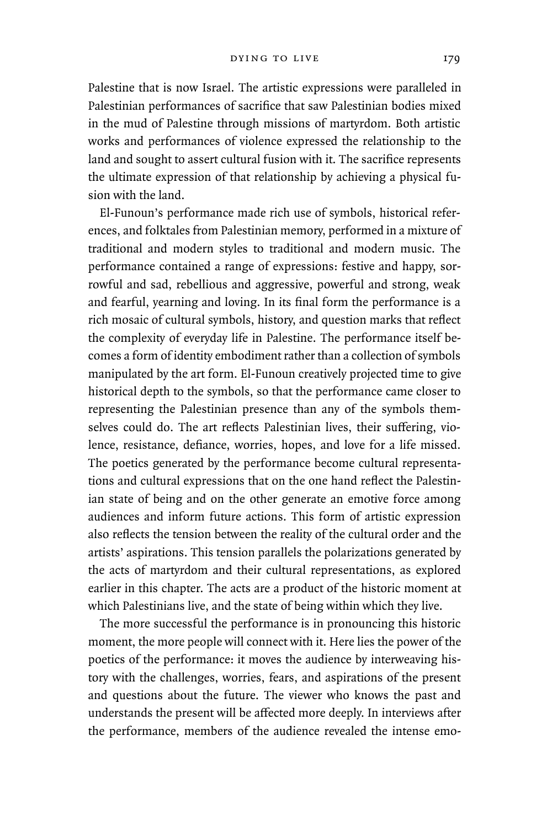Palestine that is now Israel. The artistic expressions were paralleled in Palestinian performances of sacrifice that saw Palestinian bodies mixed in the mud of Palestine through missions of martyrdom. Both artistic works and performances of violence expressed the relationship to the land and sought to assert cultural fusion with it. The sacrifice represents the ultimate expression of that relationship by achieving a physical fusion with the land.

El-Funoun's performance made rich use of symbols, historical references, and folktales from Palestinian memory, performed in a mixture of traditional and modern styles to traditional and modern music. The performance contained a range of expressions: festive and happy, sorrowful and sad, rebellious and aggressive, powerful and strong, weak and fearful, yearning and loving. In its final form the performance is a rich mosaic of cultural symbols, history, and question marks that reflect the complexity of everyday life in Palestine. The performance itself becomes a form of identity embodiment rather than a collection of symbols manipulated by the art form. El-Funoun creatively projected time to give historical depth to the symbols, so that the performance came closer to representing the Palestinian presence than any of the symbols themselves could do. The art reflects Palestinian lives, their suffering, violence, resistance, defiance, worries, hopes, and love for a life missed. The poetics generated by the performance become cultural representations and cultural expressions that on the one hand reflect the Palestinian state of being and on the other generate an emotive force among audiences and inform future actions. This form of artistic expression also reflects the tension between the reality of the cultural order and the artists' aspirations. This tension parallels the polarizations generated by the acts of martyrdom and their cultural representations, as explored earlier in this chapter. The acts are a product of the historic moment at which Palestinians live, and the state of being within which they live.

The more successful the performance is in pronouncing this historic moment, the more people will connect with it. Here lies the power of the poetics of the performance: it moves the audience by interweaving history with the challenges, worries, fears, and aspirations of the present and questions about the future. The viewer who knows the past and understands the present will be affected more deeply. In interviews after the performance, members of the audience revealed the intense emo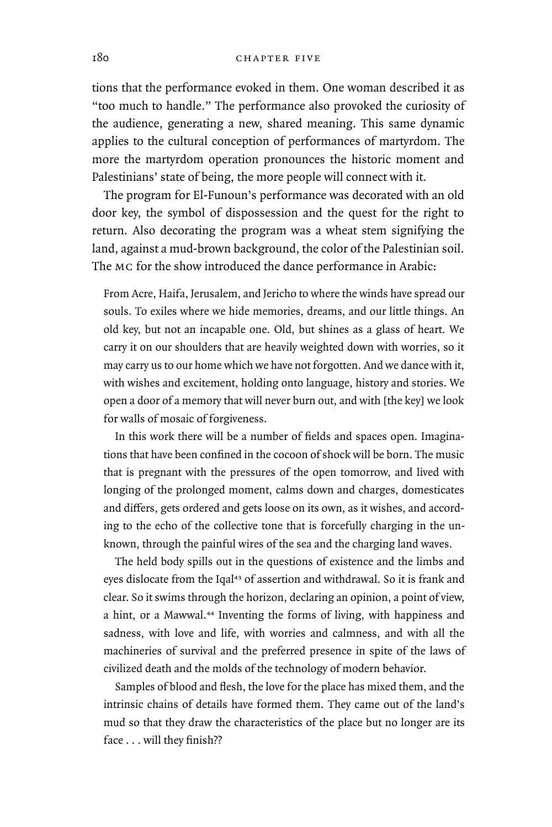tions that the performance evoked in them. One woman described it as ''too much to handle.'' The performance also provoked the curiosity of the audience, generating a new, shared meaning. This same dynamic applies to the cultural conception of performances of martyrdom. The more the martyrdom operation pronounces the historic moment and Palestinians' state of being, the more people will connect with it.

The program for El-Funoun's performance was decorated with an old door key, the symbol of dispossession and the quest for the right to return. Also decorating the program was a wheat stem signifying the land, against a mud-brown background, the color of the Palestinian soil. The mc for the show introduced the dance performance in Arabic:

From Acre, Haifa, Jerusalem, and Jericho to where the winds have spread our souls. To exiles where we hide memories, dreams, and our little things. An old key, but not an incapable one. Old, but shines as a glass of heart. We carry it on our shoulders that are heavily weighted down with worries, so it may carry us to our home which we have not forgotten. And we dance with it, with wishes and excitement, holding onto language, history and stories. We open a door of a memory that will never burn out, and with [the key] we look for walls of mosaic of forgiveness.

In this work there will be a number of fields and spaces open. Imaginations that have been confined in the cocoon of shock will be born. The music that is pregnant with the pressures of the open tomorrow, and lived with longing of the prolonged moment, calms down and charges, domesticates and differs, gets ordered and gets loose on its own, as it wishes, and according to the echo of the collective tone that is forcefully charging in the unknown, through the painful wires of the sea and the charging land waves.

The held body spills out in the questions of existence and the limbs and eyes dislocate from the Iqal<sup>43</sup> of assertion and withdrawal. So it is frank and clear. So it swims through the horizon, declaring an opinion, a point of view, a hint, or a Mawwal.<sup>44</sup> Inventing the forms of living, with happiness and sadness, with love and life, with worries and calmness, and with all the machineries of survival and the preferred presence in spite of the laws of civilized death and the molds of the technology of modern behavior.

Samples of blood and flesh, the love for the place has mixed them, and the intrinsic chains of details have formed them. They came out of the land's mud so that they draw the characteristics of the place but no longer are its face . . . will they finish??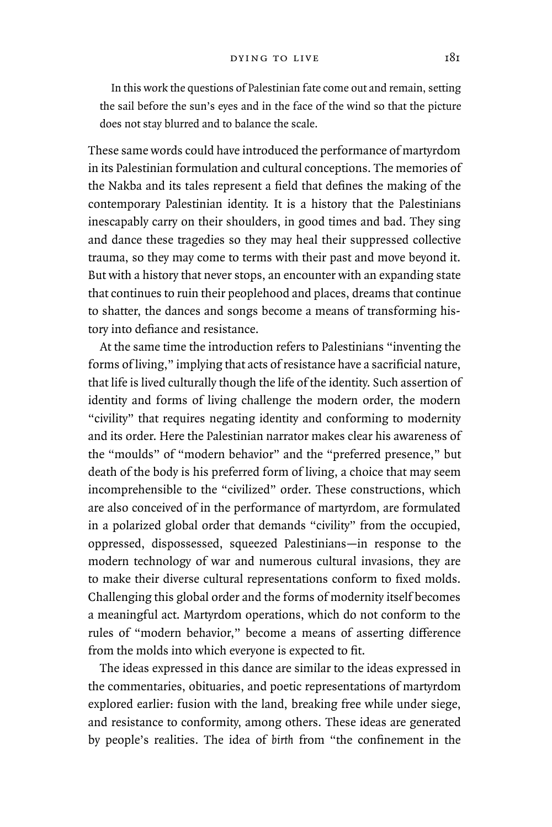In this work the questions of Palestinian fate come out and remain, setting the sail before the sun's eyes and in the face of the wind so that the picture does not stay blurred and to balance the scale.

These same words could have introduced the performance of martyrdom in its Palestinian formulation and cultural conceptions. The memories of the Nakba and its tales represent a field that defines the making of the contemporary Palestinian identity. It is a history that the Palestinians inescapably carry on their shoulders, in good times and bad. They sing and dance these tragedies so they may heal their suppressed collective trauma, so they may come to terms with their past and move beyond it. But with a history that never stops, an encounter with an expanding state that continues to ruin their peoplehood and places, dreams that continue to shatter, the dances and songs become a means of transforming history into defiance and resistance.

At the same time the introduction refers to Palestinians ''inventing the forms of living,'' implying that acts of resistance have a sacrificial nature, that life is lived culturally though the life of the identity. Such assertion of identity and forms of living challenge the modern order, the modern "civility" that requires negating identity and conforming to modernity and its order. Here the Palestinian narrator makes clear his awareness of the ''moulds'' of ''modern behavior'' and the ''preferred presence,'' but death of the body is his preferred form of living, a choice that may seem incomprehensible to the "civilized" order. These constructions, which are also conceived of in the performance of martyrdom, are formulated in a polarized global order that demands ''civility'' from the occupied, oppressed, dispossessed, squeezed Palestinians—in response to the modern technology of war and numerous cultural invasions, they are to make their diverse cultural representations conform to fixed molds. Challenging this global order and the forms of modernity itself becomes a meaningful act. Martyrdom operations, which do not conform to the rules of "modern behavior," become a means of asserting difference from the molds into which everyone is expected to fit.

The ideas expressed in this dance are similar to the ideas expressed in the commentaries, obituaries, and poetic representations of martyrdom explored earlier: fusion with the land, breaking free while under siege, and resistance to conformity, among others. These ideas are generated by people's realities. The idea of *birth* from ''the confinement in the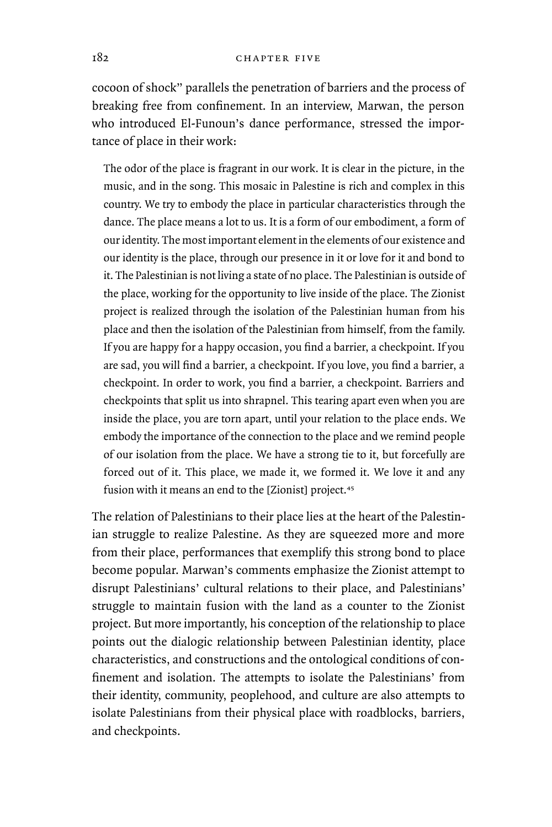cocoon of shock'' parallels the penetration of barriers and the process of breaking free from confinement. In an interview, Marwan, the person who introduced El-Funoun's dance performance, stressed the importance of place in their work:

The odor of the place is fragrant in our work. It is clear in the picture, in the music, and in the song. This mosaic in Palestine is rich and complex in this country. We try to embody the place in particular characteristics through the dance. The place means a lot to us. It is a form of our embodiment, a form of our identity. The most important element in the elements of our existence and our identity is the place, through our presence in it or love for it and bond to it. The Palestinian is not living a state of no place. The Palestinian is outside of the place, working for the opportunity to live inside of the place. The Zionist project is realized through the isolation of the Palestinian human from his place and then the isolation of the Palestinian from himself, from the family. If you are happy for a happy occasion, you find a barrier, a checkpoint. If you are sad, you will find a barrier, a checkpoint. If you love, you find a barrier, a checkpoint. In order to work, you find a barrier, a checkpoint. Barriers and checkpoints that split us into shrapnel. This tearing apart even when you are inside the place, you are torn apart, until your relation to the place ends. We embody the importance of the connection to the place and we remind people of our isolation from the place. We have a strong tie to it, but forcefully are forced out of it. This place, we made it, we formed it. We love it and any fusion with it means an end to the [Zionist] project.<sup>45</sup>

The relation of Palestinians to their place lies at the heart of the Palestinian struggle to realize Palestine. As they are squeezed more and more from their place, performances that exemplify this strong bond to place become popular. Marwan's comments emphasize the Zionist attempt to disrupt Palestinians' cultural relations to their place, and Palestinians' struggle to maintain fusion with the land as a counter to the Zionist project. But more importantly, his conception of the relationship to place points out the dialogic relationship between Palestinian identity, place characteristics, and constructions and the ontological conditions of confinement and isolation. The attempts to isolate the Palestinians' from their identity, community, peoplehood, and culture are also attempts to isolate Palestinians from their physical place with roadblocks, barriers, and checkpoints.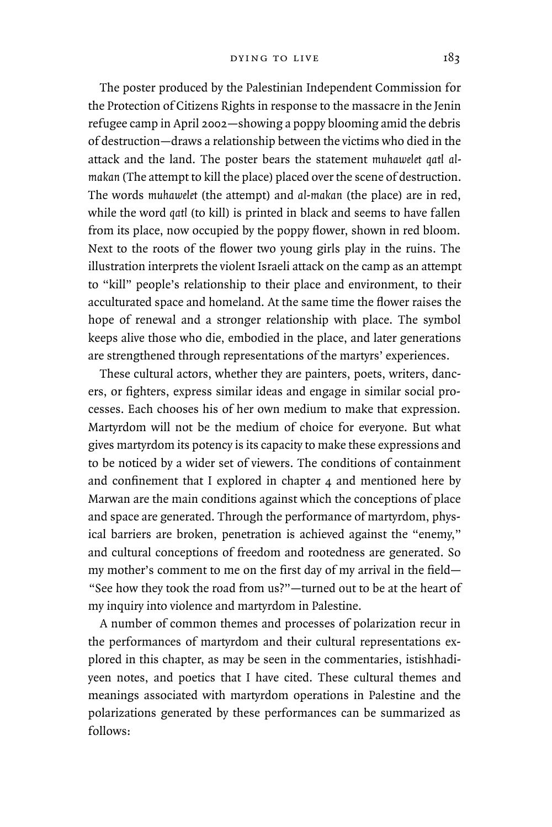The poster produced by the Palestinian Independent Commission for the Protection of Citizens Rights in response to the massacre in the Jenin refugee camp in April 2002—showing a poppy blooming amid the debris of destruction—draws a relationship between the victims who died in the attack and the land. The poster bears the statement *muhawelet qatl almakan* (The attempt to kill the place) placed over the scene of destruction. The words *muhawelet* (the attempt) and *al-makan* (the place) are in red, while the word *qatl* (to kill) is printed in black and seems to have fallen from its place, now occupied by the poppy flower, shown in red bloom. Next to the roots of the flower two young girls play in the ruins. The illustration interprets the violent Israeli attack on the camp as an attempt to ''kill'' people's relationship to their place and environment, to their acculturated space and homeland. At the same time the flower raises the hope of renewal and a stronger relationship with place. The symbol keeps alive those who die, embodied in the place, and later generations are strengthened through representations of the martyrs' experiences.

These cultural actors, whether they are painters, poets, writers, dancers, or fighters, express similar ideas and engage in similar social processes. Each chooses his of her own medium to make that expression. Martyrdom will not be the medium of choice for everyone. But what gives martyrdom its potency is its capacity to make these expressions and to be noticed by a wider set of viewers. The conditions of containment and confinement that I explored in chapter 4 and mentioned here by Marwan are the main conditions against which the conceptions of place and space are generated. Through the performance of martyrdom, physical barriers are broken, penetration is achieved against the ''enemy,'' and cultural conceptions of freedom and rootedness are generated. So my mother's comment to me on the first day of my arrival in the field— ''See how they took the road from us?''—turned out to be at the heart of my inquiry into violence and martyrdom in Palestine.

A number of common themes and processes of polarization recur in the performances of martyrdom and their cultural representations explored in this chapter, as may be seen in the commentaries, istishhadiyeen notes, and poetics that I have cited. These cultural themes and meanings associated with martyrdom operations in Palestine and the polarizations generated by these performances can be summarized as follows: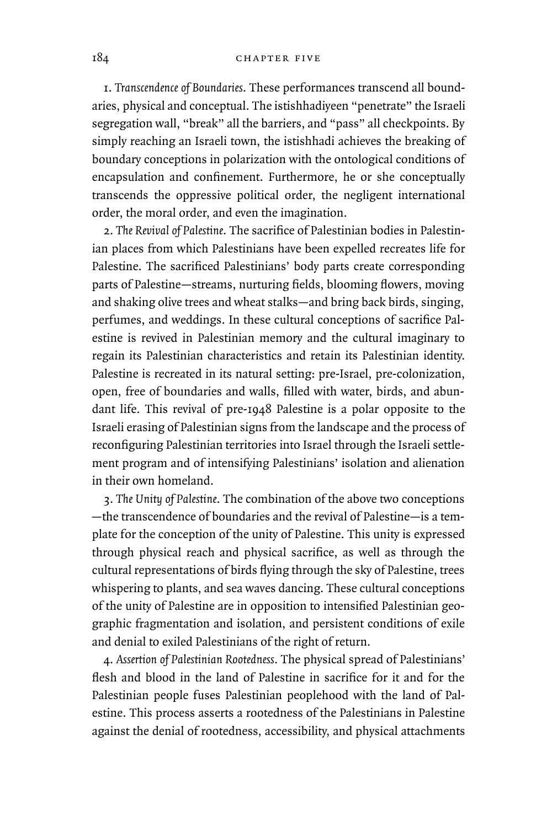1. *Transcendence of Boundaries*. These performances transcend all boundaries, physical and conceptual. The istishhadiyeen ''penetrate'' the Israeli segregation wall, ''break'' all the barriers, and ''pass'' all checkpoints. By simply reaching an Israeli town, the istishhadi achieves the breaking of boundary conceptions in polarization with the ontological conditions of encapsulation and confinement. Furthermore, he or she conceptually transcends the oppressive political order, the negligent international order, the moral order, and even the imagination.

2. *The Revival of Palestine*. The sacrifice of Palestinian bodies in Palestinian places from which Palestinians have been expelled recreates life for Palestine. The sacrificed Palestinians' body parts create corresponding parts of Palestine—streams, nurturing fields, blooming flowers, moving and shaking olive trees and wheat stalks—and bring back birds, singing, perfumes, and weddings. In these cultural conceptions of sacrifice Palestine is revived in Palestinian memory and the cultural imaginary to regain its Palestinian characteristics and retain its Palestinian identity. Palestine is recreated in its natural setting: pre-Israel, pre-colonization, open, free of boundaries and walls, filled with water, birds, and abundant life. This revival of pre-1948 Palestine is a polar opposite to the Israeli erasing of Palestinian signs from the landscape and the process of reconfiguring Palestinian territories into Israel through the Israeli settlement program and of intensifying Palestinians' isolation and alienation in their own homeland.

3. *The Unity of Palestine*. The combination of the above two conceptions —the transcendence of boundaries and the revival of Palestine—is a template for the conception of the unity of Palestine. This unity is expressed through physical reach and physical sacrifice, as well as through the cultural representations of birds flying through the sky of Palestine, trees whispering to plants, and sea waves dancing. These cultural conceptions of the unity of Palestine are in opposition to intensified Palestinian geographic fragmentation and isolation, and persistent conditions of exile and denial to exiled Palestinians of the right of return.

4. *Assertion of Palestinian Rootedness*. The physical spread of Palestinians' flesh and blood in the land of Palestine in sacrifice for it and for the Palestinian people fuses Palestinian peoplehood with the land of Palestine. This process asserts a rootedness of the Palestinians in Palestine against the denial of rootedness, accessibility, and physical attachments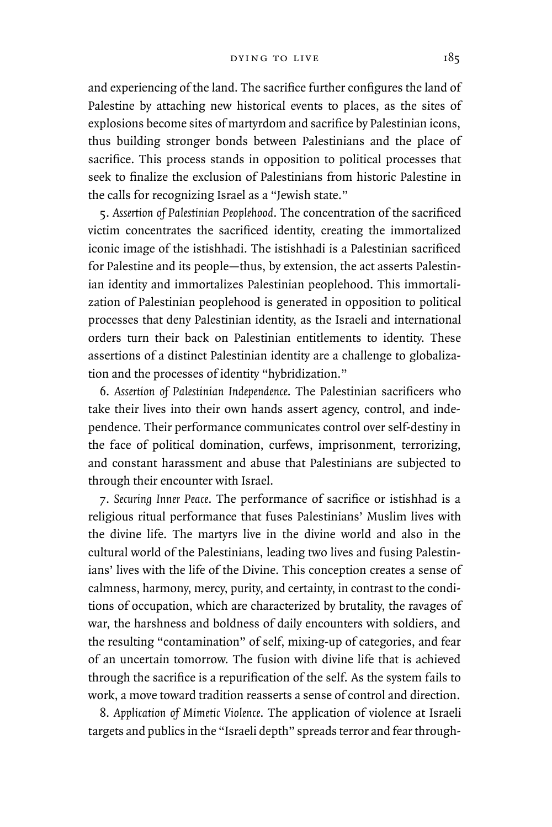#### dying to live

and experiencing of the land. The sacrifice further configures the land of Palestine by attaching new historical events to places, as the sites of explosions become sites of martyrdom and sacrifice by Palestinian icons, thus building stronger bonds between Palestinians and the place of sacrifice. This process stands in opposition to political processes that seek to finalize the exclusion of Palestinians from historic Palestine in the calls for recognizing Israel as a ''Jewish state.''

5. *Assertion of Palestinian Peoplehood*. The concentration of the sacrificed victim concentrates the sacrificed identity, creating the immortalized iconic image of the istishhadi. The istishhadi is a Palestinian sacrificed for Palestine and its people—thus, by extension, the act asserts Palestinian identity and immortalizes Palestinian peoplehood. This immortalization of Palestinian peoplehood is generated in opposition to political processes that deny Palestinian identity, as the Israeli and international orders turn their back on Palestinian entitlements to identity. These assertions of a distinct Palestinian identity are a challenge to globalization and the processes of identity ''hybridization.''

6. *Assertion of Palestinian Independence*. The Palestinian sacrificers who take their lives into their own hands assert agency, control, and independence. Their performance communicates control over self-destiny in the face of political domination, curfews, imprisonment, terrorizing, and constant harassment and abuse that Palestinians are subjected to through their encounter with Israel.

7. *Securing Inner Peace*. The performance of sacrifice or istishhad is a religious ritual performance that fuses Palestinians' Muslim lives with the divine life. The martyrs live in the divine world and also in the cultural world of the Palestinians, leading two lives and fusing Palestinians' lives with the life of the Divine. This conception creates a sense of calmness, harmony, mercy, purity, and certainty, in contrast to the conditions of occupation, which are characterized by brutality, the ravages of war, the harshness and boldness of daily encounters with soldiers, and the resulting ''contamination'' of self, mixing-up of categories, and fear of an uncertain tomorrow. The fusion with divine life that is achieved through the sacrifice is a repurification of the self. As the system fails to work, a move toward tradition reasserts a sense of control and direction.

8. *Application of Mimetic Violence*. The application of violence at Israeli targets and publics in the ''Israeli depth'' spreads terror and fear through